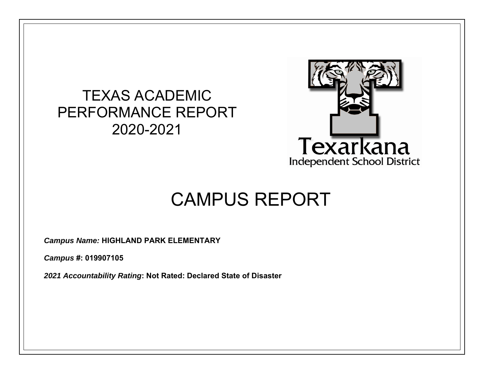## TEXAS ACADEMIC PERFORMANCE REPORT 2020-2021



# CAMPUS REPORT

*Campus Name:* **HIGHLAND PARK ELEMENTARY** 

*Campus* **#: 019907105** 

*2021 Accountability Rating***: Not Rated: Declared State of Disaster**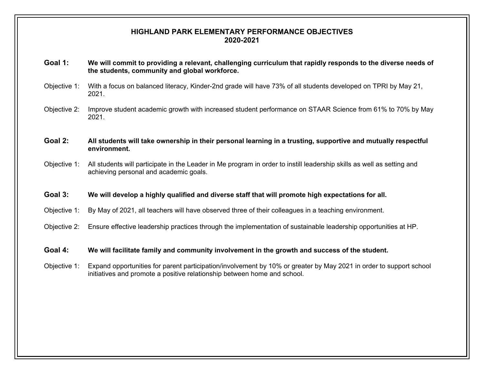#### **HIGHLAND PARK ELEMENTARY PERFORMANCE OBJECTIVES 2020-2021**

- **Goal 1: We will commit to providing a relevant, challenging curriculum that rapidly responds to the diverse needs of the students, community and global workforce.**
- Objective 1: With a focus on balanced literacy, Kinder-2nd grade will have 73% of all students developed on TPRI by May 21, 2021.
- Objective 2: Improve student academic growth with increased student performance on STAAR Science from 61% to 70% by May 2021.

#### **Goal 2: All students will take ownership in their personal learning in a trusting, supportive and mutually respectful environment.**

Objective 1: All students will participate in the Leader in Me program in order to instill leadership skills as well as setting and achieving personal and academic goals.

#### **Goal 3: We will develop a highly qualified and diverse staff that will promote high expectations for all.**

- Objective 1: By May of 2021, all teachers will have observed three of their colleagues in a teaching environment.
- Objective 2: Ensure effective leadership practices through the implementation of sustainable leadership opportunities at HP.

#### **Goal 4: We will facilitate family and community involvement in the growth and success of the student.**

Objective 1: Expand opportunities for parent participation/involvement by 10% or greater by May 2021 in order to support school initiatives and promote a positive relationship between home and school.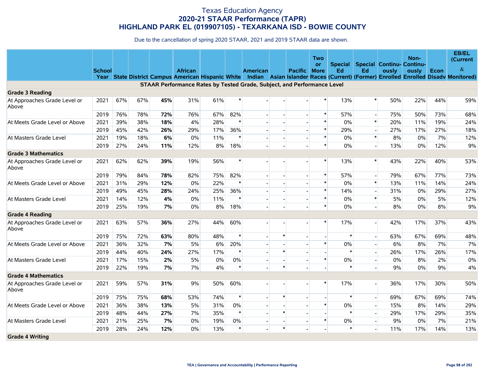|                                       |               |     |     |     |                                                                         |     |        |                          |              |                          | Two                      |                |                          |                                  | Non-  |      | EB/EL<br>(Current                                                                                                                     |
|---------------------------------------|---------------|-----|-----|-----|-------------------------------------------------------------------------|-----|--------|--------------------------|--------------|--------------------------|--------------------------|----------------|--------------------------|----------------------------------|-------|------|---------------------------------------------------------------------------------------------------------------------------------------|
|                                       |               |     |     |     |                                                                         |     |        |                          |              |                          | or                       | <b>Special</b> |                          | <b>Special Continu- Continu-</b> |       |      | $\&$                                                                                                                                  |
|                                       | <b>School</b> |     |     |     | <b>African</b>                                                          |     |        | <b>American</b>          |              | <b>Pacific</b>           | <b>More</b>              | Ed             | Ed                       | ously                            | ously | Econ | Year State District Campus American Hispanic White Indian Asian Islander Races (Current) (Former) Enrolled Enrolled Disady Monitored) |
|                                       |               |     |     |     | STAAR Performance Rates by Tested Grade, Subject, and Performance Level |     |        |                          |              |                          |                          |                |                          |                                  |       |      |                                                                                                                                       |
| <b>Grade 3 Reading</b>                |               |     |     |     |                                                                         |     |        |                          |              |                          |                          |                |                          |                                  |       |      |                                                                                                                                       |
| At Approaches Grade Level or<br>Above | 2021          | 67% | 67% | 45% | 31%                                                                     | 61% |        |                          |              |                          | $\ast$                   | 13%            | $\ast$                   | 50%                              | 22%   | 44%  | 59%                                                                                                                                   |
|                                       | 2019          | 76% | 78% | 72% | 76%                                                                     | 67% | 82%    |                          |              |                          | $\ast$                   | 57%            | $\overline{\phantom{a}}$ | 75%                              | 50%   | 73%  | 68%                                                                                                                                   |
| At Meets Grade Level or Above         | 2021          | 39% | 38% | 18% | 4%                                                                      | 28% | *      |                          |              |                          | $\pmb{\ast}$             | 0%             | $\ast$                   | 20%                              | 11%   | 19%  | 24%                                                                                                                                   |
|                                       | 2019          | 45% | 42% | 26% | 29%                                                                     | 17% | 36%    |                          |              | $\overline{a}$           | $\pmb{\ast}$             | 29%            | $\overline{\phantom{a}}$ | 27%                              | 17%   | 27%  | 18%                                                                                                                                   |
| At Masters Grade Level                | 2021          | 19% | 18% | 6%  | 0%                                                                      | 11% | *      |                          |              | $\overline{a}$           | $\pmb{\ast}$             | 0%             | $\pmb{\ast}$             | 8%                               | 0%    | 7%   | 12%                                                                                                                                   |
|                                       | 2019          | 27% | 24% | 11% | 12%                                                                     | 8%  | 18%    |                          |              |                          | $\ast$                   | 0%             | $\overline{\phantom{a}}$ | 13%                              | 0%    | 12%  | 9%                                                                                                                                    |
| <b>Grade 3 Mathematics</b>            |               |     |     |     |                                                                         |     |        |                          |              |                          |                          |                |                          |                                  |       |      |                                                                                                                                       |
| At Approaches Grade Level or<br>Above | 2021          | 62% | 62% | 39% | 19%                                                                     | 56% |        |                          |              |                          | $\ast$                   | 13%            | $\ast$                   | 43%                              | 22%   | 40%  | 53%                                                                                                                                   |
|                                       | 2019          | 79% | 84% | 78% | 82%                                                                     | 75% | 82%    |                          |              |                          | $\ast$                   | 57%            | $\overline{a}$           | 79%                              | 67%   | 77%  | 73%                                                                                                                                   |
| At Meets Grade Level or Above         | 2021          | 31% | 29% | 12% | 0%                                                                      | 22% |        |                          |              |                          | $\ast$                   | 0%             | $\ast$                   | 13%                              | 11%   | 14%  | 24%                                                                                                                                   |
|                                       | 2019          | 49% | 45% | 28% | 24%                                                                     | 25% | 36%    |                          |              |                          | $\ast$                   | 14%            | $\overline{a}$           | 31%                              | 0%    | 29%  | 27%                                                                                                                                   |
| At Masters Grade Level                | 2021          | 14% | 12% | 4%  | 0%                                                                      | 11% |        |                          |              |                          | $\ast$                   | 0%             | $\ast$                   | 5%                               | 0%    | 5%   | 12%                                                                                                                                   |
|                                       | 2019          | 25% | 19% | 7%  | 0%                                                                      | 8%  | 18%    |                          |              |                          | $\ast$                   | $0\%$          |                          | 8%                               | 0%    | 8%   | 9%                                                                                                                                    |
| <b>Grade 4 Reading</b>                |               |     |     |     |                                                                         |     |        |                          |              |                          |                          |                |                          |                                  |       |      |                                                                                                                                       |
| At Approaches Grade Level or<br>Above | 2021          | 63% | 57% | 36% | 27%                                                                     | 44% | 60%    |                          |              |                          | $\ast$                   | 17%            |                          | 42%                              | 17%   | 37%  | 43%                                                                                                                                   |
|                                       | 2019          | 75% | 72% | 63% | 80%                                                                     | 48% |        |                          | $\ast$       | $\overline{\phantom{a}}$ | $\overline{\phantom{a}}$ | $\ast$         | $\overline{a}$           | 63%                              | 67%   | 69%  | 48%                                                                                                                                   |
| At Meets Grade Level or Above         | 2021          | 36% | 32% | 7%  | 5%                                                                      | 6%  | 20%    |                          |              |                          | $\ast$                   | 0%             | $\blacksquare$           | 6%                               | 8%    | 7%   | 7%                                                                                                                                    |
|                                       | 2019          | 44% | 40% | 24% | 27%                                                                     | 17% | $\ast$ |                          | $\pmb{\ast}$ |                          | $\mathbf{r}$             | $\ast$         | $\Box$                   | 26%                              | 17%   | 26%  | 17%                                                                                                                                   |
| At Masters Grade Level                | 2021          | 17% | 15% | 2%  | 5%                                                                      | 0%  | $0\%$  | $\overline{\phantom{a}}$ |              | $\overline{\phantom{a}}$ | $\ast$                   | $0\%$          | $\overline{\phantom{a}}$ | $0\%$                            | 8%    | 2%   | 0%                                                                                                                                    |
|                                       | 2019          | 22% | 19% | 7%  | 7%                                                                      | 4%  | $\ast$ |                          | $\ast$       |                          | $\mathbf{r}$             | $\ast$         | $\blacksquare$           | 9%                               | $0\%$ | 9%   | 4%                                                                                                                                    |
| <b>Grade 4 Mathematics</b>            |               |     |     |     |                                                                         |     |        |                          |              |                          |                          |                |                          |                                  |       |      |                                                                                                                                       |
| At Approaches Grade Level or<br>Above | 2021          | 59% | 57% | 31% | 9%                                                                      | 50% | 60%    |                          |              |                          | $\ast$                   | 17%            |                          | 36%                              | 17%   | 30%  | 50%                                                                                                                                   |
|                                       | 2019          | 75% | 75% | 68% | 53%                                                                     | 74% | $\ast$ |                          | $\ast$       | $\overline{a}$           | $\sim$                   | $\ast$         | $\overline{\phantom{a}}$ | 69%                              | 67%   | 69%  | 74%                                                                                                                                   |
| At Meets Grade Level or Above         | 2021          | 36% | 38% | 13% | 5%                                                                      | 31% | $0\%$  |                          |              | $\overline{a}$           | $\pmb{\ast}$             | $0\%$          | $\overline{\phantom{a}}$ | 15%                              | 8%    | 14%  | 29%                                                                                                                                   |
|                                       | 2019          | 48% | 44% | 27% | 7%                                                                      | 35% | $\ast$ |                          | $\ast$       |                          | $\sim$                   | $\ast$         | $\blacksquare$           | 29%                              | 17%   | 29%  | 35%                                                                                                                                   |
| At Masters Grade Level                | 2021          | 21% | 25% | 7%  | 0%                                                                      | 19% | 0%     |                          |              | $\blacksquare$           | $\pmb{\ast}$             | $0\%$          | $\blacksquare$           | 9%                               | 0%    | 7%   | 21%                                                                                                                                   |
|                                       | 2019          | 28% | 24% | 12% | 0%                                                                      | 13% | $\ast$ |                          | $\ast$       |                          |                          | $\ast$         |                          | 11%                              | 17%   | 14%  | 13%                                                                                                                                   |
| <b>Grade 4 Writing</b>                |               |     |     |     |                                                                         |     |        |                          |              |                          |                          |                |                          |                                  |       |      |                                                                                                                                       |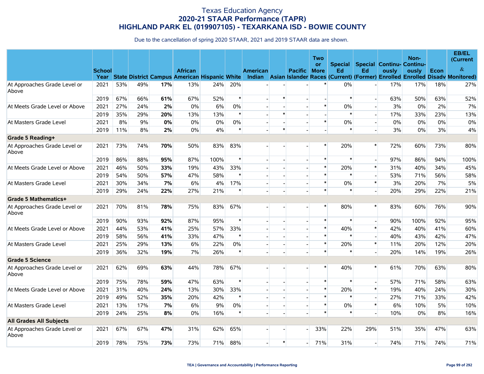|                                       |               |     |     |     |                |      |        |                 |        |                          | Two                      |                      |                          |                                    | Non-  |      | EB/EL<br>(Current                                                                                                                |
|---------------------------------------|---------------|-----|-----|-----|----------------|------|--------|-----------------|--------|--------------------------|--------------------------|----------------------|--------------------------|------------------------------------|-------|------|----------------------------------------------------------------------------------------------------------------------------------|
|                                       | <b>School</b> |     |     |     | <b>African</b> |      |        | <b>American</b> |        | <b>Pacific</b>           | <b>or</b>                | <b>Special</b><br>Ed | Ed                       | Special Continu- Continu-<br>ously |       | Econ | $\&$                                                                                                                             |
|                                       | Year          |     |     |     |                |      |        |                 |        |                          | <b>More</b>              |                      |                          |                                    | ously |      | State District Campus American Hispanic White Indian Asian Islander Races (Current) (Former) Enrolled Enrolled Disady Monitored) |
| At Approaches Grade Level or<br>Above | 2021          | 53% | 49% | 17% | 13%            | 24%  | 20%    |                 |        |                          |                          | $0\%$                |                          | 17%                                | 17%   | 18%  | 27%                                                                                                                              |
|                                       | 2019          | 67% | 66% | 61% | 67%            | 52%  | $\ast$ |                 | *      |                          | $\overline{\phantom{a}}$ | $\ast$               | $\blacksquare$           | 63%                                | 50%   | 63%  | 52%                                                                                                                              |
| At Meets Grade Level or Above         | 2021          | 27% | 24% | 2%  | 0%             | 6%   | 0%     |                 |        |                          | $\ast$                   | $0\%$                | $\blacksquare$           | 3%                                 | 0%    | 2%   | 7%                                                                                                                               |
|                                       | 2019          | 35% | 29% | 20% | 13%            | 13%  | $\ast$ |                 | $\ast$ |                          | $\overline{\phantom{a}}$ | $\ast$               | $\overline{\phantom{a}}$ | 17%                                | 33%   | 23%  | 13%                                                                                                                              |
| At Masters Grade Level                | 2021          | 8%  | 9%  | 0%  | $0\%$          | 0%   | 0%     |                 |        | $\overline{\phantom{a}}$ | $\ast$                   | $0\%$                | $\overline{\phantom{a}}$ | 0%                                 | 0%    | 0%   | 0%                                                                                                                               |
|                                       | 2019          | 11% | 8%  | 2%  | 0%             | 4%   | $\ast$ |                 | $\ast$ |                          |                          | $\ast$               | $\overline{a}$           | 3%                                 | 0%    | 3%   | 4%                                                                                                                               |
| Grade 5 Reading+                      |               |     |     |     |                |      |        |                 |        |                          |                          |                      |                          |                                    |       |      |                                                                                                                                  |
| At Approaches Grade Level or<br>Above | 2021          | 73% | 74% | 70% | 50%            | 83%  | 83%    |                 |        |                          | $\ast$                   | 20%                  | $\ast$                   | 72%                                | 60%   | 73%  | 80%                                                                                                                              |
|                                       | 2019          | 86% | 88% | 95% | 87%            | 100% | $\ast$ |                 |        |                          | $\ast$                   | $\ast$               | $\overline{a}$           | 97%                                | 86%   | 94%  | 100%                                                                                                                             |
| At Meets Grade Level or Above         | 2021          | 46% | 50% | 33% | 19%            | 43%  | 33%    |                 |        |                          | $\ast$                   | 20%                  | $\pmb{\ast}$             | 31%                                | 40%   | 34%  | 45%                                                                                                                              |
|                                       | 2019          | 54% | 50% | 57% | 47%            | 58%  | $\ast$ |                 |        |                          | $\ast$                   | $\ast$               | $\overline{a}$           | 53%                                | 71%   | 56%  | 58%                                                                                                                              |
| At Masters Grade Level                | 2021          | 30% | 34% | 7%  | 6%             | 4%   | 17%    |                 |        |                          | $\ast$                   | $0\%$                | $\ast$                   | 3%                                 | 20%   | 7%   | 5%                                                                                                                               |
|                                       | 2019          | 29% | 24% | 22% | 27%            | 21%  | $\ast$ |                 |        |                          | $\ast$                   | $\ast$               | $\blacksquare$           | 20%                                | 29%   | 22%  | 21%                                                                                                                              |
| <b>Grade 5 Mathematics+</b>           |               |     |     |     |                |      |        |                 |        |                          |                          |                      |                          |                                    |       |      |                                                                                                                                  |
| At Approaches Grade Level or<br>Above | 2021          | 70% | 81% | 78% | 75%            | 83%  | 67%    |                 |        |                          | $\ast$                   | 80%                  | $\ast$                   | 83%                                | 60%   | 76%  | 90%                                                                                                                              |
|                                       | 2019          | 90% | 93% | 92% | 87%            | 95%  | $\ast$ |                 |        |                          | $\ast$                   | $\ast$               | $\blacksquare$           | 90%                                | 100%  | 92%  | 95%                                                                                                                              |
| At Meets Grade Level or Above         | 2021          | 44% | 53% | 41% | 25%            | 57%  | 33%    |                 |        |                          | $\ast$                   | 40%                  | $\ast$                   | 42%                                | 40%   | 41%  | 60%                                                                                                                              |
|                                       | 2019          | 58% | 56% | 41% | 33%            | 47%  | $\ast$ |                 |        |                          | $\ast$                   | $\ast$               | $\blacksquare$           | 40%                                | 43%   | 42%  | 47%                                                                                                                              |
| At Masters Grade Level                | 2021          | 25% | 29% | 13% | 6%             | 22%  | 0%     |                 |        | $\overline{a}$           | $\ast$                   | 20%                  | $\ast$                   | 11%                                | 20%   | 12%  | 20%                                                                                                                              |
|                                       | 2019          | 36% | 32% | 19% | 7%             | 26%  | $\ast$ |                 |        |                          | $\ast$                   |                      | $\overline{a}$           | 20%                                | 14%   | 19%  | 26%                                                                                                                              |
| <b>Grade 5 Science</b>                |               |     |     |     |                |      |        |                 |        |                          |                          |                      |                          |                                    |       |      |                                                                                                                                  |
| At Approaches Grade Level or<br>Above | 2021          | 62% | 69% | 63% | 44%            | 78%  | 67%    |                 |        |                          | $\ast$                   | 40%                  | $\ast$                   | 61%                                | 70%   | 63%  | 80%                                                                                                                              |
|                                       | 2019          | 75% | 78% | 59% | 47%            | 63%  | $\ast$ |                 |        | $\overline{\phantom{a}}$ | $\ast$                   | $\ast$               | $\blacksquare$           | 57%                                | 71%   | 58%  | 63%                                                                                                                              |
| At Meets Grade Level or Above         | 2021          | 31% | 40% | 24% | 13%            | 30%  | 33%    |                 |        | $\overline{\phantom{a}}$ | $\ast$                   | 20%                  | $\pmb{\ast}$             | 19%                                | 40%   | 24%  | 30%                                                                                                                              |
|                                       | 2019          | 49% | 52% | 35% | 20%            | 42%  | $\ast$ |                 |        |                          | $\ast$                   | $\ast$               | $\overline{a}$           | 27%                                | 71%   | 33%  | 42%                                                                                                                              |
| At Masters Grade Level                | 2021          | 13% | 17% | 7%  | 6%             | 9%   | 0%     |                 |        |                          | $\ast$                   | 0%                   | $\pmb{\ast}$             | 6%                                 | 10%   | 5%   | 10%                                                                                                                              |
|                                       | 2019          | 24% | 25% | 8%  | $0\%$          | 16%  | $\ast$ |                 |        |                          | $\ast$                   | $\ast$               |                          | 10%                                | 0%    | 8%   | 16%                                                                                                                              |
| <b>All Grades All Subjects</b>        |               |     |     |     |                |      |        |                 |        |                          |                          |                      |                          |                                    |       |      |                                                                                                                                  |
| At Approaches Grade Level or<br>Above | 2021          | 67% | 67% | 47% | 31%            | 62%  | 65%    |                 |        |                          | 33%                      | 22%                  | 29%                      | 51%                                | 35%   | 47%  | 63%                                                                                                                              |
|                                       | 2019          | 78% | 75% | 73% | 73%            | 71%  | 88%    |                 | $\ast$ |                          | 71%                      | 31%                  | $\overline{a}$           | 74%                                | 71%   | 74%  | 71%                                                                                                                              |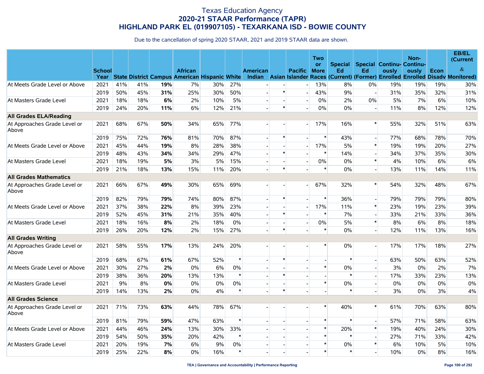|                                       |               |     |     |       |                                                                      |     |        |                 |                          |                          | Two            |                |                          |       | Non-                      |      | <b>EB/EL</b><br>(Current                                                           |
|---------------------------------------|---------------|-----|-----|-------|----------------------------------------------------------------------|-----|--------|-----------------|--------------------------|--------------------------|----------------|----------------|--------------------------|-------|---------------------------|------|------------------------------------------------------------------------------------|
|                                       |               |     |     |       |                                                                      |     |        |                 |                          |                          | <b>or</b>      | <b>Special</b> |                          |       | Special Continu- Continu- |      | $\&$                                                                               |
|                                       | <b>School</b> |     |     |       | <b>African</b><br>Year State District Campus American Hispanic White |     |        | <b>American</b> |                          | <b>Pacific</b>           | <b>More</b>    | Ed             | Ed                       | ously | ously                     | Econ | Indian Asian Islander Races (Current) (Former) Enrolled Enrolled Disady Monitored) |
| At Meets Grade Level or Above         | 2021          | 41% | 41% | 19%   | 7%                                                                   | 30% | 27%    |                 |                          |                          | 13%            | 8%             | $0\%$                    | 19%   | 19%                       | 19%  | 30%                                                                                |
|                                       | 2019          | 50% | 45% | 31%   | 25%                                                                  | 30% | 50%    |                 | $\ast$                   |                          | 43%            | 9%             | $\blacksquare$           | 31%   | 35%                       | 32%  | 31%                                                                                |
| At Masters Grade Level                | 2021          | 18% | 18% | 6%    | 2%                                                                   | 10% | 5%     |                 |                          | $\overline{a}$           | 0%             | 2%             | $0\%$                    | 5%    | 7%                        | 6%   | 10%                                                                                |
|                                       | 2019          | 24% | 20% | 11%   | 6%                                                                   | 12% | 21%    |                 | $\ast$                   | $\sim$                   | 0%             | $0\%$          | $\overline{\phantom{a}}$ | 11%   | 8%                        | 12%  | 12%                                                                                |
| <b>All Grades ELA/Reading</b>         |               |     |     |       |                                                                      |     |        |                 |                          |                          |                |                |                          |       |                           |      |                                                                                    |
| At Approaches Grade Level or<br>Above | 2021          | 68% | 67% | 50%   | 34%                                                                  | 65% | 77%    |                 |                          |                          | 17%            | 16%            | $\ast$                   | 55%   | 32%                       | 51%  | 63%                                                                                |
|                                       | 2019          | 75% | 72% | 76%   | 81%                                                                  | 70% | 87%    |                 | $\ast$                   |                          | $\ast$         | 43%            | $\overline{a}$           | 77%   | 68%                       | 78%  | 70%                                                                                |
| At Meets Grade Level or Above         | 2021          | 45% | 44% | 19%   | 8%                                                                   | 28% | 38%    |                 |                          |                          | 17%            | 5%             | $\ast$                   | 19%   | 19%                       | 20%  | 27%                                                                                |
|                                       | 2019          | 48% | 43% | 34%   | 34%                                                                  | 29% | 47%    |                 | $\ast$                   |                          | $\ast$         | 14%            | $\overline{\phantom{0}}$ | 34%   | 37%                       | 35%  | 30%                                                                                |
| At Masters Grade Level                | 2021          | 18% | 19% | 5%    | 3%                                                                   | 5%  | 15%    |                 | $\blacksquare$           | $\overline{\phantom{a}}$ | 0%             | $0\%$          | $\ast$                   | 4%    | 10%                       | 6%   | 6%                                                                                 |
|                                       | 2019          | 21% | 18% | 13%   | 15%                                                                  | 11% | 20%    |                 | $\ast$                   |                          | $\ast$         | $0\%$          | $\overline{\phantom{a}}$ | 13%   | 11%                       | 14%  | 11%                                                                                |
| <b>All Grades Mathematics</b>         |               |     |     |       |                                                                      |     |        |                 |                          |                          |                |                |                          |       |                           |      |                                                                                    |
| At Approaches Grade Level or<br>Above | 2021          | 66% | 67% | 49%   | 30%                                                                  | 65% | 69%    |                 |                          |                          | 67%            | 32%            | $\ast$                   | 54%   | 32%                       | 48%  | 67%                                                                                |
|                                       | 2019          | 82% | 79% | 79%   | 74%                                                                  | 80% | 87%    | $\mathbf{r}$    | $\ast$                   |                          | $\ast$         | 36%            | $\overline{\phantom{0}}$ | 79%   | 79%                       | 79%  | 80%                                                                                |
| At Meets Grade Level or Above         | 2021          | 37% | 38% | 22%   | 8%                                                                   | 39% | 23%    |                 |                          | $\overline{\phantom{a}}$ | 17%            | 11%            | $\pmb{\ast}$             | 23%   | 19%                       | 23%  | 39%                                                                                |
|                                       | 2019          | 52% | 45% | 31%   | 21%                                                                  | 35% | 40%    |                 | $\ast$                   | $\overline{\phantom{a}}$ | $\ast$         | 7%             | $\overline{\phantom{a}}$ | 33%   | 21%                       | 33%  | 36%                                                                                |
| At Masters Grade Level                | 2021          | 18% | 16% | 8%    | 2%                                                                   | 18% | $0\%$  | $\overline{a}$  | $\overline{\phantom{a}}$ | $\overline{\phantom{a}}$ | 0%             | 5%             | $\pmb{\ast}$             | 8%    | 6%                        | 8%   | 18%                                                                                |
|                                       | 2019          | 26% | 20% | 12%   | 2%                                                                   | 15% | 27%    |                 | $\ast$                   |                          | $\ast$         | $0\%$          | $\overline{a}$           | 12%   | 11%                       | 13%  | 16%                                                                                |
| <b>All Grades Writing</b>             |               |     |     |       |                                                                      |     |        |                 |                          |                          |                |                |                          |       |                           |      |                                                                                    |
| At Approaches Grade Level or<br>Above | 2021          | 58% | 55% | 17%   | 13%                                                                  | 24% | 20%    |                 |                          |                          | $\ast$         | $0\%$          |                          | 17%   | 17%                       | 18%  | 27%                                                                                |
|                                       | 2019          | 68% | 67% | 61%   | 67%                                                                  | 52% | $\ast$ |                 | $\ast$                   |                          | $\sim$         | $\ast$         | $\overline{\phantom{a}}$ | 63%   | 50%                       | 63%  | 52%                                                                                |
| At Meets Grade Level or Above         | 2021          | 30% | 27% | 2%    | $0\%$                                                                | 6%  | 0%     |                 |                          |                          | $\ast$         | $0\%$          | $\overline{\phantom{a}}$ | 3%    | 0%                        | 2%   | 7%                                                                                 |
|                                       | 2019          | 38% | 36% | 20%   | 13%                                                                  | 13% | $\ast$ |                 | $\ast$                   |                          | $\overline{a}$ | $\ast$         | $\frac{1}{2}$            | 17%   | 33%                       | 23%  | 13%                                                                                |
| At Masters Grade Level                | 2021          | 9%  | 8%  | $0\%$ | 0%                                                                   | 0%  | $0\%$  |                 |                          |                          | $\ast$         | $0\%$          | $\overline{\phantom{a}}$ | 0%    | 0%                        | 0%   | 0%                                                                                 |
|                                       | 2019          | 14% | 13% | 2%    | $0\%$                                                                | 4%  | $\ast$ |                 | $\ast$                   |                          |                | $\ast$         |                          | 3%    | 0%                        | 3%   | 4%                                                                                 |
| <b>All Grades Science</b>             |               |     |     |       |                                                                      |     |        |                 |                          |                          |                |                |                          |       |                           |      |                                                                                    |
| At Approaches Grade Level or<br>Above | 2021          | 71% | 73% | 63%   | 44%                                                                  | 78% | 67%    |                 |                          |                          | $\ast$         | 40%            | $\ast$                   | 61%   | 70%                       | 63%  | 80%                                                                                |
|                                       | 2019          | 81% | 79% | 59%   | 47%                                                                  | 63% | $\ast$ |                 |                          |                          | $\ast$         | $\ast$         | $\overline{\phantom{a}}$ | 57%   | 71%                       | 58%  | 63%                                                                                |
| At Meets Grade Level or Above         | 2021          | 44% | 46% | 24%   | 13%                                                                  | 30% | 33%    |                 |                          |                          | $\ast$         | 20%            | $\ast$                   | 19%   | 40%                       | 24%  | 30%                                                                                |
|                                       | 2019          | 54% | 50% | 35%   | 20%                                                                  | 42% | $\ast$ |                 |                          |                          | $\ast$         | $\ast$         | $\overline{a}$           | 27%   | 71%                       | 33%  | 42%                                                                                |
| At Masters Grade Level                | 2021          | 20% | 19% | 7%    | 6%                                                                   | 9%  | $0\%$  |                 |                          | $\overline{a}$           | $\ast$         | $0\%$          | $\ast$                   | 6%    | 10%                       | 5%   | 10%                                                                                |
|                                       | 2019          | 25% | 22% | 8%    | $0\%$                                                                | 16% | $\ast$ |                 |                          |                          | $\ast$         | $\ast$         |                          | 10%   | 0%                        | 8%   | 16%                                                                                |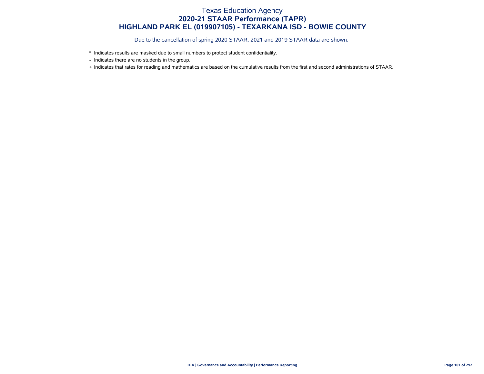- \* Indicates results are masked due to small numbers to protect student confidentiality.
- Indicates there are no students in the group.
- + Indicates that rates for reading and mathematics are based on the cumulative results from the first and second administrations of STAAR.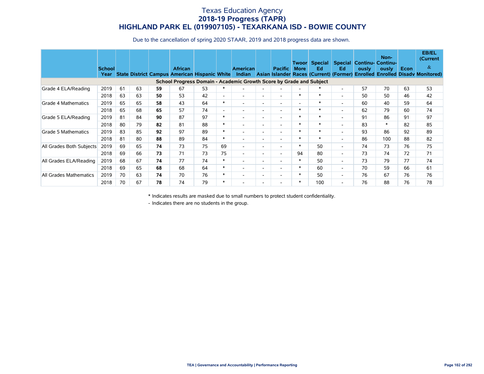Due to the cancellation of spring 2020 STAAR, 2019 and 2018 progress data are shown.

|                          | <b>School</b><br>Year |    |    |    | <b>African</b><br><b>State District Campus American Hispanic White</b> |    |                          | <b>American</b><br><b>Indian</b> |                          | <b>Pacific</b>           | Twoorl<br><b>More</b>    | Special<br>Ed<br>Asian Islander Races (Current) (Former) | Ed.                      | ously | Non-<br><b>Special Continu- Continu-</b><br>ously | Econ | <b>EB/EL</b><br>(Current<br>$\&$<br><b>Enrolled Enrolled Disady Monitored)</b> |
|--------------------------|-----------------------|----|----|----|------------------------------------------------------------------------|----|--------------------------|----------------------------------|--------------------------|--------------------------|--------------------------|----------------------------------------------------------|--------------------------|-------|---------------------------------------------------|------|--------------------------------------------------------------------------------|
|                          |                       |    |    |    | School Progress Domain - Academic Growth Score by Grade and Subject    |    |                          |                                  |                          |                          |                          |                                                          |                          |       |                                                   |      |                                                                                |
| Grade 4 ELA/Reading      | 2019                  | 61 | 63 | 59 | 67                                                                     | 53 | ∗                        |                                  | $\overline{\phantom{a}}$ |                          | $\overline{\phantom{a}}$ |                                                          | $\overline{\phantom{a}}$ | 57    | 70                                                | 63   | 53                                                                             |
|                          | 2018                  | 63 | 63 | 50 | 53                                                                     | 42 | $\overline{\phantom{a}}$ | $\overline{\phantom{a}}$         | $\overline{\phantom{a}}$ | $\overline{\phantom{0}}$ | $\ast$                   | ∗                                                        | $\overline{\phantom{a}}$ | 50    | 50                                                | 46   | 42                                                                             |
| Grade 4 Mathematics      | 2019                  | 65 | 65 | 58 | 43                                                                     | 64 | $\ast$                   | $\overline{\phantom{a}}$         | $\overline{a}$           | $\overline{\phantom{0}}$ | $\overline{\phantom{a}}$ | ∗                                                        | $\overline{\phantom{a}}$ | 60    | 40                                                | 59   | 64                                                                             |
|                          | 2018                  | 65 | 68 | 65 | 57                                                                     | 74 | $\overline{\phantom{a}}$ | $\overline{\phantom{a}}$         | $\overline{\phantom{a}}$ | $\overline{\phantom{0}}$ | $\ast$                   | $\ast$                                                   | $\overline{\phantom{a}}$ | 62    | 79                                                | 60   | 74                                                                             |
| Grade 5 ELA/Reading      | 2019                  | 81 | 84 | 90 | 87                                                                     | 97 | $\ast$                   | $\overline{\phantom{a}}$         | $\overline{\phantom{a}}$ | $\overline{\phantom{0}}$ | $\ast$                   | $\ast$                                                   | $\overline{\phantom{a}}$ | 91    | 86                                                | 91   | 97                                                                             |
|                          | 2018                  | 80 | 79 | 82 | 81                                                                     | 88 | $\ast$                   | $\overline{\phantom{a}}$         | $\sim$                   | $\overline{\phantom{0}}$ | $\ast$                   | $\ast$                                                   | $\overline{\phantom{a}}$ | 83    | $\ast$                                            | 82   | 85                                                                             |
| Grade 5 Mathematics      | 2019                  | 83 | 85 | 92 | 97                                                                     | 89 | $\ast$                   | $\overline{\phantom{a}}$         | $\overline{a}$           | $\overline{\phantom{0}}$ | $\ast$                   | $\ast$                                                   | $\overline{\phantom{a}}$ | 93    | 86                                                | 92   | 89                                                                             |
|                          | 2018                  | 81 | 80 | 88 | 89                                                                     | 84 | $\ast$                   | $\overline{\phantom{a}}$         | $\sim$                   | $\overline{\phantom{a}}$ | $\ast$                   | $\ast$                                                   | $\overline{\phantom{a}}$ | 86    | 100                                               | 88   | 82                                                                             |
| All Grades Both Subjects | 2019                  | 69 | 65 | 74 | 73                                                                     | 75 | 69                       | $\overline{\phantom{a}}$         | $\sim$                   | $\overline{\phantom{0}}$ | $\ast$                   | 50                                                       | $\overline{\phantom{a}}$ | 74    | 73                                                | 76   | 75                                                                             |
|                          | 2018                  | 69 | 66 | 73 | 71                                                                     | 73 | 75                       | $\overline{\phantom{a}}$         | $\sim$                   | $\overline{\phantom{a}}$ | 94                       | 80                                                       | $\overline{\phantom{a}}$ | 73    | 74                                                | 72   | 71                                                                             |
| All Grades ELA/Reading   | 2019                  | 68 | 67 | 74 | 77                                                                     | 74 | $\ast$                   | $\overline{\phantom{a}}$         | $\sim$                   | $\overline{\phantom{0}}$ | $\ast$                   | 50                                                       | $\overline{\phantom{a}}$ | 73    | 79                                                | 77   | 74                                                                             |
|                          | 2018                  | 69 | 65 | 68 | 68                                                                     | 64 | $\ast$                   | $\overline{\phantom{a}}$         | $\overline{a}$           | $\overline{\phantom{0}}$ | $\ast$                   | 60                                                       | $\overline{\phantom{0}}$ | 70    | 59                                                | 66   | 61                                                                             |
| All Grades Mathematics   | 2019                  | 70 | 63 | 74 | 70                                                                     | 76 | $\ast$                   | ٠                                | $\overline{\phantom{a}}$ | $\overline{\phantom{0}}$ | $\ast$                   | 50                                                       | $\overline{\phantom{a}}$ | 76    | 67                                                | 76   | 76                                                                             |
|                          | 2018                  | 70 | 67 | 78 | 74                                                                     | 79 | $\ast$                   |                                  | $\overline{\phantom{a}}$ |                          | $\ast$                   | 100                                                      | $\overline{\phantom{a}}$ | 76    | 88                                                | 76   | 78                                                                             |

\* Indicates results are masked due to small numbers to protect student confidentiality.

- Indicates there are no students in the group.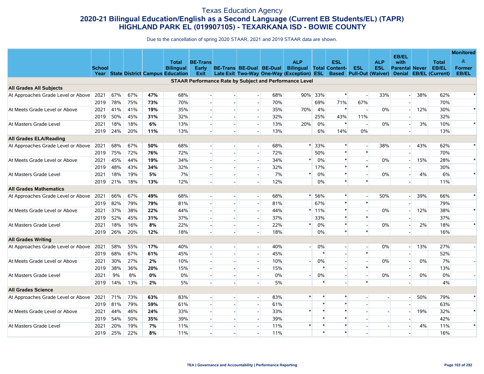#### Texas Education Agency **2020-21 Bilingual Education/English as a Second Language (Current EB Students/EL) (TAPR) HIGHLAND PARK EL (019907105) - TEXARKANA ISD - BOWIE COUNTY**

|                                    |               |     |     |     |                                             |                          |                |                          |     |                                                                |         |                          |                         |                |                          |     |                        | <b>Monitored</b> |
|------------------------------------|---------------|-----|-----|-----|---------------------------------------------|--------------------------|----------------|--------------------------|-----|----------------------------------------------------------------|---------|--------------------------|-------------------------|----------------|--------------------------|-----|------------------------|------------------|
|                                    |               |     |     |     | <b>Total</b>                                | <b>BE-Trans</b>          |                |                          |     | <b>ALP</b>                                                     |         | <b>ESL</b>               |                         | <b>ALP</b>     | <b>EB/EL</b><br>with     |     | <b>Total</b>           | $\&$             |
|                                    | <b>School</b> |     |     |     | <b>Bilingual</b>                            | Early                    |                | BE-Trans BE-Dual BE-Dual |     | <b>Bilingual Total Content-</b>                                |         |                          | <b>ESL</b>              | <b>ESL</b>     | <b>Parental Never</b>    |     | <b>EB/EL</b>           | <b>Former</b>    |
|                                    |               |     |     |     | <b>Year State District Campus Education</b> | Exit                     |                |                          |     | Late Exit Two-Way One-Way (Exception)                          | ESL     |                          | Based Pull-Out (Waiver) |                | <b>Denial</b>            |     | <b>EB/EL (Current)</b> | <b>EB/EL</b>     |
|                                    |               |     |     |     |                                             |                          |                |                          |     | <b>STAAR Performance Rate by Subject and Performance Level</b> |         |                          |                         |                |                          |     |                        |                  |
| <b>All Grades All Subjects</b>     |               |     |     |     |                                             |                          |                |                          |     |                                                                |         |                          |                         |                |                          |     |                        |                  |
| At Approaches Grade Level or Above | 2021          | 67% | 67% | 47% | 68%                                         | $\overline{\phantom{a}}$ |                |                          | 68% | 90%                                                            | 33%     | $\ast$                   | $\blacksquare$          | 33%            | $\overline{\phantom{a}}$ | 38% | 62%                    |                  |
|                                    | 2019          | 78% | 75% | 73% | 70%                                         |                          |                |                          | 70% |                                                                | 69%     | 71%                      | 67%                     |                |                          |     | 70%                    |                  |
| At Meets Grade Level or Above      | 2021          | 41% | 41% | 19% | 35%                                         | $\sim$                   |                |                          | 35% | 70%                                                            | 4%      | $\ast$                   | $\sim$                  | 0%             |                          | 12% | 30%                    | $\ast$           |
|                                    | 2019          | 50% | 45% | 31% | 32%                                         | $\overline{\phantom{a}}$ |                |                          | 32% |                                                                | 25%     | 43%                      | 11%                     |                |                          |     | 32%                    |                  |
| At Masters Grade Level             | 2021          | 18% | 18% | 6%  | 13%                                         | $\overline{a}$           |                |                          | 13% | 20%                                                            | 0%      | $\ast$                   | $\blacksquare$          | 0%             |                          | 3%  | 10%                    | $\ast$           |
|                                    | 2019          | 24% | 20% | 11% | 13%                                         |                          |                |                          | 13% |                                                                | 6%      | 14%                      | $0\%$                   |                |                          |     | 13%                    |                  |
| <b>All Grades ELA/Reading</b>      |               |     |     |     |                                             |                          |                |                          |     |                                                                |         |                          |                         |                |                          |     |                        |                  |
| At Approaches Grade Level or Above | 2021          | 68% | 67% | 50% | 68%                                         | $\overline{\phantom{a}}$ |                |                          | 68% | $\ast$                                                         | 33%     | $\ast$                   | $\blacksquare$          | 38%            |                          | 43% | 62%                    |                  |
|                                    | 2019          | 75% | 72% | 76% | 72%                                         |                          |                |                          | 72% |                                                                | 50%     | $\ast$                   | $\ast$                  |                |                          |     | 70%                    |                  |
| At Meets Grade Level or Above      | 2021          | 45% | 44% | 19% | 34%                                         | $\overline{a}$           |                |                          | 34% | $\ast$                                                         | 0%      | $\ast$                   | $\overline{a}$          | 0%             |                          | 15% | 28%                    |                  |
|                                    | 2019          | 48% | 43% | 34% | 32%                                         | $\sim$                   |                |                          | 32% |                                                                | 17%     | $\ast$                   | $\ast$                  |                |                          |     | 30%                    |                  |
| At Masters Grade Level             | 2021          | 18% | 19% | 5%  | 7%                                          | $\sim$                   |                |                          | 7%  | $\ast$                                                         | 0%      | $\ast$                   |                         | 0%             |                          | 4%  | 6%                     |                  |
|                                    | 2019          | 21% | 18% | 13% | 12%                                         |                          |                |                          | 12% |                                                                | 0%      | $\ast$                   | $\ast$                  |                |                          |     | 11%                    |                  |
| <b>All Grades Mathematics</b>      |               |     |     |     |                                             |                          |                |                          |     |                                                                |         |                          |                         |                |                          |     |                        |                  |
| At Approaches Grade Level or Above | 2021          | 66% | 67% | 49% | 68%                                         | $\overline{\phantom{a}}$ |                | $\overline{\phantom{a}}$ | 68% |                                                                | 56%     | $\ast$                   | $\sim$                  | 50%            |                          | 39% | 66%                    |                  |
|                                    | 2019          | 82% | 79% | 79% | 81%                                         | $\sim$                   |                |                          | 81% |                                                                | 67%     | $\ast$                   | $\ast$                  |                |                          |     | 79%                    |                  |
| At Meets Grade Level or Above      | 2021          | 37% | 38% | 22% | 44%                                         | $\overline{a}$           |                |                          | 44% |                                                                | $*11\%$ | $\ast$                   | $\overline{a}$          | 0%             |                          | 12% | 38%                    | $\ast$           |
|                                    | 2019          | 52% | 45% | 31% | 37%                                         | $\sim$                   |                |                          | 37% |                                                                | 33%     | $\ast$                   | $\ast$                  |                |                          |     | 37%                    |                  |
| At Masters Grade Level             | 2021          | 18% | 16% | 8%  | 22%                                         | $\overline{\phantom{a}}$ |                |                          | 22% | $\ast$                                                         | 0%      | $\ast$                   | $\sim$                  | 0%             | $\overline{\phantom{a}}$ | 2%  | 18%                    |                  |
|                                    | 2019          | 26% | 20% | 12% | 18%                                         |                          |                |                          | 18% |                                                                | 0%      | $\ast$                   | $\ast$                  |                |                          |     | 16%                    |                  |
| <b>All Grades Writing</b>          |               |     |     |     |                                             |                          |                |                          |     |                                                                |         |                          |                         |                |                          |     |                        |                  |
| At Approaches Grade Level or Above | 2021          | 58% | 55% | 17% | 40%                                         | $\sim$                   |                | $\sim$                   | 40% |                                                                | 0%      | $\overline{\phantom{a}}$ | $\sim$                  | 0%             | н.                       | 13% | 27%                    |                  |
|                                    | 2019          | 68% | 67% | 61% | 45%                                         | $\sim$                   |                |                          | 45% |                                                                | $\ast$  |                          | $\ast$                  |                |                          |     | 52%                    |                  |
| At Meets Grade Level or Above      | 2021          | 30% | 27% | 2%  | 10%                                         | $\mathbf{r}$             |                |                          | 10% |                                                                | 0%      |                          | $\Box$                  | 0%             |                          | 0%  | 7%                     |                  |
|                                    | 2019          | 38% | 36% | 20% | 15%                                         | $\overline{a}$           |                |                          | 15% |                                                                | $\ast$  | $\overline{\phantom{a}}$ | $\ast$                  |                |                          |     | 13%                    |                  |
| At Masters Grade Level             | 2021          | 9%  | 8%  | 0%  | 0%                                          | $\sim$                   |                |                          | 0%  |                                                                | 0%      | $\overline{a}$           | $\sim$                  | 0%             | $\sim$                   | 0%  | 0%                     |                  |
|                                    | 2019          | 14% | 13% | 2%  | 5%                                          |                          |                |                          | 5%  |                                                                | $\ast$  |                          | $\ast$                  |                |                          |     | 4%                     |                  |
| <b>All Grades Science</b>          |               |     |     |     |                                             |                          |                |                          |     |                                                                |         |                          |                         |                |                          |     |                        |                  |
| At Approaches Grade Level or Above | 2021          | 71% | 73% | 63% | 83%                                         | $\overline{a}$           | $\overline{a}$ | $\overline{\phantom{a}}$ | 83% | $\ast$                                                         | $\ast$  | $\ast$                   | $\sim$                  | $\overline{a}$ |                          | 50% | 79%                    | *                |
|                                    | 2019          | 81% | 79% | 59% | 61%                                         | $\sim$                   |                | $\overline{\phantom{a}}$ | 61% |                                                                | $\ast$  | $\ast$                   |                         |                |                          |     | 63%                    |                  |
| At Meets Grade Level or Above      | 2021          | 44% | 46% | 24% | 33%                                         | $\sim$                   |                |                          | 33% | $\ast$                                                         | $\ast$  | $\ast$                   |                         |                |                          | 19% | 32%                    | $\ast$           |
|                                    | 2019          | 54% | 50% | 35% | 39%                                         |                          |                |                          | 39% |                                                                | $\ast$  | $\ast$                   |                         |                |                          |     | 42%                    |                  |
| At Masters Grade Level             | 2021          | 20% | 19% | 7%  | 11%                                         | $\sim$                   |                |                          | 11% | $\ast$                                                         | $\ast$  | $\ast$                   | $\sim$                  |                |                          | 4%  | 11%                    | $\ast$           |
|                                    | 2019          | 25% | 22% | 8%  | 11%                                         |                          |                |                          | 11% |                                                                | $\ast$  | $\ast$                   |                         |                |                          |     | 16%                    |                  |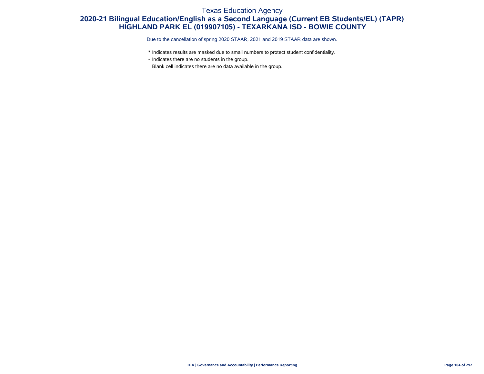#### Texas Education Agency

### **2020-21 Bilingual Education/English as a Second Language (Current EB Students/EL) (TAPR) HIGHLAND PARK EL (019907105) - TEXARKANA ISD - BOWIE COUNTY**

Due to the cancellation of spring 2020 STAAR, 2021 and 2019 STAAR data are shown.

- \* Indicates results are masked due to small numbers to protect student confidentiality.
- Indicates there are no students in the group.

Blank cell indicates there are no data available in the group.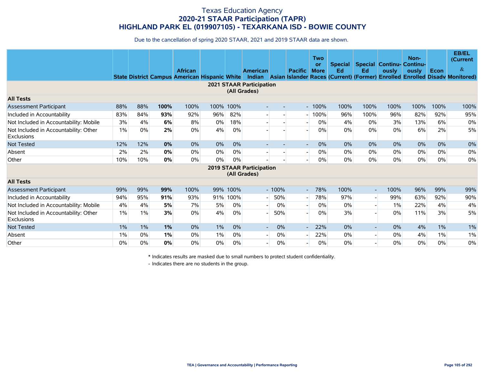Due to the cancellation of spring 2020 STAAR, 2021 and 2019 STAAR data are shown.

|                                                            |       |       |      | <b>African</b><br><b>State District Campus American Hispanic White</b> |      |      | American                                        |         | <b>Pacific</b>           | Two<br>or<br><b>More</b> | <b>Special</b><br>Ed | Ed                       | <b>Special Continu- Continu-</b><br>ously | Non-<br>ously | Econ  | <b>EB/EL</b><br>(Current<br>$\&$<br>Indian Asian Islander Races (Current) (Former) Enrolled Enrolled Disadv Monitored) |
|------------------------------------------------------------|-------|-------|------|------------------------------------------------------------------------|------|------|-------------------------------------------------|---------|--------------------------|--------------------------|----------------------|--------------------------|-------------------------------------------|---------------|-------|------------------------------------------------------------------------------------------------------------------------|
|                                                            |       |       |      |                                                                        |      |      | <b>2021 STAAR Participation</b><br>(All Grades) |         |                          |                          |                      |                          |                                           |               |       |                                                                                                                        |
| <b>All Tests</b>                                           |       |       |      |                                                                        |      |      |                                                 |         |                          |                          |                      |                          |                                           |               |       |                                                                                                                        |
| <b>Assessment Participant</b>                              | 88%   | 88%   | 100% | 100%                                                                   | 100% | 100% |                                                 |         |                          | $-100%$                  | 100%                 | 100%                     | 100%                                      | 100%          | 100%  | 100%                                                                                                                   |
| Included in Accountability                                 | 83%   | 84%   | 93%  | 92%                                                                    | 96%  | 82%  |                                                 |         |                          | 100%                     | 96%                  | 100%                     | 96%                                       | 82%           | 92%   | 95%                                                                                                                    |
| Not Included in Accountability: Mobile                     | 3%    | 4%    | 6%   | 8%                                                                     | 0%   | 18%  |                                                 |         |                          | 0%                       | 4%                   | 0%                       | 3%                                        | 13%           | 6%    | 0%                                                                                                                     |
| Not Included in Accountability: Other<br>Exclusions        | 1%    | 0%    | 2%   | 0%                                                                     | 4%   | 0%   |                                                 |         |                          | 0%                       | $0\%$                | 0%                       | 0%                                        | 6%            | 2%    | 5%                                                                                                                     |
| <b>Not Tested</b>                                          | 12%   | 12%   | 0%   | 0%                                                                     | 0%   | 0%   |                                                 |         | $\overline{\phantom{a}}$ | 0%                       | $0\%$                | 0%                       | 0%                                        | 0%            | 0%    | 0%                                                                                                                     |
| Absent                                                     | 2%    | 2%    | 0%   | 0%                                                                     | 0%   | 0%   |                                                 |         |                          | $0\%$                    | $0\%$                | 0%                       | 0%                                        | $0\%$         | 0%    | 0%                                                                                                                     |
| Other                                                      | 10%   | 10%   | 0%   | 0%                                                                     | 0%   | 0%   |                                                 |         |                          | 0%                       | 0%                   | 0%                       | 0%                                        | 0%            | 0%    | 0%                                                                                                                     |
|                                                            |       |       |      |                                                                        |      |      | <b>2019 STAAR Participation</b><br>(All Grades) |         |                          |                          |                      |                          |                                           |               |       |                                                                                                                        |
| <b>All Tests</b>                                           |       |       |      |                                                                        |      |      |                                                 |         |                          |                          |                      |                          |                                           |               |       |                                                                                                                        |
| Assessment Participant                                     | 99%   | 99%   | 99%  | 100%                                                                   | 99%  | 100% |                                                 | $-100%$ | $\overline{\phantom{a}}$ | 78%                      | 100%                 | $\overline{\phantom{a}}$ | 100%                                      | 96%           | 99%   | 99%                                                                                                                    |
| Included in Accountability                                 | 94%   | 95%   | 91%  | 93%                                                                    | 91%  | 100% |                                                 | 50%     | $\overline{\phantom{0}}$ | 78%                      | 97%                  | $\overline{\phantom{a}}$ | 99%                                       | 63%           | 92%   | 90%                                                                                                                    |
| Not Included in Accountability: Mobile                     | 4%    | 4%    | 5%   | 7%                                                                     | 5%   | 0%   |                                                 | 0%      | $\overline{\phantom{0}}$ | $0\%$                    | $0\%$                | $\overline{\phantom{a}}$ | 1%                                        | 22%           | 4%    | 4%                                                                                                                     |
| Not Included in Accountability: Other<br><b>Exclusions</b> | $1\%$ | 1%    | 3%   | 0%                                                                     | 4%   | 0%   |                                                 | 50%     |                          | 0%                       | 3%                   |                          | 0%                                        | 11%           | 3%    | 5%                                                                                                                     |
| <b>Not Tested</b>                                          | $1\%$ | $1\%$ | 1%   | 0%                                                                     | 1%   | 0%   | $\blacksquare$                                  | 0%      |                          | 22%                      | $0\%$                | $\overline{\phantom{a}}$ | 0%                                        | 4%            | $1\%$ | 1%                                                                                                                     |
| Absent                                                     | $1\%$ | 0%    | 1%   | 0%                                                                     | 1%   | 0%   | $\sim$                                          | 0%      |                          | 22%                      | $0\%$                | $\overline{\phantom{a}}$ | 0%                                        | 4%            | 1%    | 1%                                                                                                                     |
| Other                                                      | $0\%$ | 0%    | 0%   | 0%                                                                     | 0%   | 0%   |                                                 | 0%      |                          | $0\%$                    | $0\%$                |                          | 0%                                        | 0%            | 0%    | 0%                                                                                                                     |

\* Indicates results are masked due to small numbers to protect student confidentiality.

- Indicates there are no students in the group.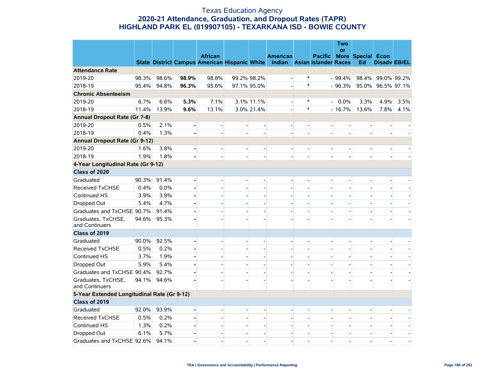#### Texas Education Agency **2020-21 Attendance, Graduation, and Dropout Rates (TAPR) HIGHLAND PARK EL (019907105) - TEXARKANA ISD - BOWIE COUNTY**

|                                             |       |       |                | <b>African</b>                                                            |                              |                          | <b>American</b>          |                          | <b>Pacific</b>           | <b>Two</b><br><b>or</b> | <b>More Special Econ</b> |                     |                          |
|---------------------------------------------|-------|-------|----------------|---------------------------------------------------------------------------|------------------------------|--------------------------|--------------------------|--------------------------|--------------------------|-------------------------|--------------------------|---------------------|--------------------------|
|                                             |       |       |                | State District Campus American Hispanic White Indian Asian Islander Races |                              |                          |                          |                          |                          |                         | Ed                       | <b>Disady EB/EL</b> |                          |
| <b>Attendance Rate</b>                      |       |       |                |                                                                           |                              |                          |                          |                          |                          |                         |                          |                     |                          |
| 2019-20                                     | 98.3% | 98.6% | 98.9%          | 98.8%                                                                     |                              | 99.2% 98.2%              |                          | ∗                        |                          | $-99.4\%$               |                          | 98.4% 99.0% 99.2%   |                          |
| 2018-19                                     | 95.4% | 94.8% | 96.3%          | 95.6%                                                                     |                              | 97.1% 95.0%              |                          | $\ast$                   |                          | $-96.3%$                |                          | 95.0% 96.5% 97.1%   |                          |
| <b>Chronic Absenteeism</b>                  |       |       |                |                                                                           |                              |                          |                          |                          |                          |                         |                          |                     |                          |
| 2019-20                                     | 6.7%  | 6.6%  | 5.3%           | 7.1%                                                                      |                              | 3.1% 11.1%               | $\blacksquare$           | $\ast$                   | $\overline{a}$           | 0.0%                    | 3.3%                     | 4.9%                | 3.5%                     |
| 2018-19                                     | 11.4% | 13.9% | 9.6%           | 13.1%                                                                     |                              | 3.0% 21.4%               |                          | $\ast$                   |                          | $-16.7%$                | 13.6%                    | 7.8%                | 4.1%                     |
| <b>Annual Dropout Rate (Gr 7-8)</b>         |       |       |                |                                                                           |                              |                          |                          |                          |                          |                         |                          |                     |                          |
| 2019-20                                     | 0.5%  | 2.1%  | $\blacksquare$ | $\overline{\phantom{0}}$                                                  | $\overline{\phantom{a}}$     | $\overline{\phantom{0}}$ | $\qquad \qquad -$        | $\overline{a}$           | $\overline{\phantom{a}}$ |                         |                          |                     |                          |
| 2018-19                                     | 0.4%  | 1.3%  |                | $\overline{\phantom{a}}$                                                  | $\overline{\phantom{0}}$     |                          |                          |                          |                          |                         |                          |                     |                          |
| <b>Annual Dropout Rate (Gr 9-12)</b>        |       |       |                |                                                                           |                              |                          |                          |                          |                          |                         |                          |                     |                          |
| 2019-20                                     | 1.6%  | 3.8%  |                |                                                                           | $\overline{a}$               |                          |                          |                          |                          |                         |                          | -                   |                          |
| 2018-19                                     | 1.9%  | 1.8%  |                |                                                                           |                              |                          |                          |                          |                          |                         |                          |                     |                          |
| 4-Year Longitudinal Rate (Gr 9-12)          |       |       |                |                                                                           |                              |                          |                          |                          |                          |                         |                          |                     |                          |
| Class of 2020                               |       |       |                |                                                                           |                              |                          |                          |                          |                          |                         |                          |                     |                          |
| Graduated                                   | 90.3% | 91.4% | $\blacksquare$ | $\overline{a}$                                                            | $\qquad \qquad -$            | $\overline{\phantom{a}}$ | $\overline{\phantom{a}}$ | $\overline{a}$           | $\overline{\phantom{a}}$ |                         |                          | $\overline{a}$      |                          |
| <b>Received TxCHSE</b>                      | 0.4%  | 0.0%  |                |                                                                           |                              |                          |                          |                          |                          |                         |                          |                     |                          |
| Continued HS                                | 3.9%  | 3.9%  | ä,             |                                                                           | ÷                            |                          |                          |                          |                          |                         |                          |                     |                          |
| Dropped Out                                 | 5.4%  | 4.7%  |                |                                                                           | $\overline{a}$               |                          |                          |                          |                          |                         |                          |                     |                          |
| Graduates and TxCHSE 90.7%                  |       | 91.4% |                |                                                                           | $\overline{a}$               | $\blacksquare$           |                          |                          |                          |                         |                          |                     |                          |
| Graduates, TxCHSE,<br>and Continuers        | 94.6% | 95.3% |                |                                                                           | $\overline{a}$               |                          |                          |                          |                          |                         |                          |                     |                          |
| Class of 2019                               |       |       |                |                                                                           |                              |                          |                          |                          |                          |                         |                          |                     |                          |
| Graduated                                   | 90.0% | 92.5% | $\blacksquare$ | $\overline{a}$                                                            | $\overline{\phantom{a}}$     | $\overline{\phantom{a}}$ |                          | $\overline{a}$           | $\overline{a}$           |                         |                          | $\overline{a}$      |                          |
| <b>Received TxCHSE</b>                      | 0.5%  | 0.2%  | $\blacksquare$ | $\overline{a}$                                                            | $\overline{a}$               |                          |                          |                          |                          |                         |                          | $\overline{a}$      |                          |
| Continued HS                                | 3.7%  | 1.9%  | ä,             |                                                                           | $\overline{a}$               |                          |                          |                          |                          |                         |                          |                     |                          |
| Dropped Out                                 | 5.9%  | 5.4%  |                |                                                                           | $\overline{a}$               | $\overline{a}$           |                          |                          |                          |                         |                          |                     |                          |
| Graduates and TxCHSE 90.4%                  |       | 92.7% |                |                                                                           | $\overline{a}$               | $\overline{a}$           |                          | $\overline{a}$           |                          |                         |                          |                     |                          |
| Graduates, TxCHSE,<br>and Continuers        | 94.1% | 94.6% |                |                                                                           |                              |                          |                          |                          |                          |                         |                          |                     |                          |
| 5-Year Extended Longitudinal Rate (Gr 9-12) |       |       |                |                                                                           |                              |                          |                          |                          |                          |                         |                          |                     |                          |
| Class of 2019                               |       |       |                |                                                                           |                              |                          |                          |                          |                          |                         |                          |                     |                          |
| Graduated                                   | 92.0% | 93.9% | ä,             | $\overline{a}$                                                            | $\qquad \qquad \blacksquare$ | $\Box$                   |                          |                          | $\overline{\phantom{a}}$ |                         |                          |                     |                          |
| <b>Received TxCHSE</b>                      | 0.5%  | 0.2%  |                |                                                                           |                              |                          |                          |                          |                          |                         |                          |                     |                          |
| Continued HS                                | 1.3%  | 0.2%  | ä,             | $\overline{a}$                                                            | $\overline{\phantom{0}}$     | $\blacksquare$           |                          | $\overline{a}$           |                          |                         |                          |                     |                          |
| Dropped Out                                 | 6.1%  | 5.7%  | $\blacksquare$ | $\overline{\phantom{a}}$                                                  | $\overline{\phantom{0}}$     | $\overline{\phantom{a}}$ |                          | $\overline{\phantom{a}}$ | $\overline{\phantom{a}}$ |                         |                          |                     | $\overline{\phantom{a}}$ |
| Graduates and TxCHSE 92.6%                  |       | 94.1% | $\blacksquare$ |                                                                           | $\overline{a}$               |                          |                          |                          |                          |                         |                          |                     | $\overline{\phantom{a}}$ |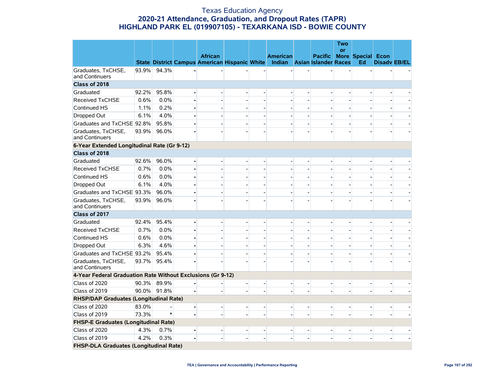#### Texas Education Agency **2020-21 Attendance, Graduation, and Dropout Rates (TAPR) HIGHLAND PARK EL (019907105) - TEXARKANA ISD - BOWIE COUNTY**

|                                                             |       |       |                                                      |                          |                          |                                    |                          |                | <b>Two</b><br>or |                          |                          |  |
|-------------------------------------------------------------|-------|-------|------------------------------------------------------|--------------------------|--------------------------|------------------------------------|--------------------------|----------------|------------------|--------------------------|--------------------------|--|
|                                                             |       |       | <b>African</b>                                       |                          |                          | <b>American</b>                    |                          | <b>Pacific</b> |                  | <b>More Special Econ</b> |                          |  |
|                                                             |       |       | <b>State District Campus American Hispanic White</b> |                          |                          | <b>Indian</b> Asian Islander Races |                          |                |                  | Ed                       | <b>Disady EB/EL</b>      |  |
| Graduates, TxCHSE,<br>and Continuers                        | 93.9% | 94.3% |                                                      |                          |                          |                                    |                          |                |                  |                          |                          |  |
| Class of 2018                                               |       |       |                                                      |                          |                          |                                    |                          |                |                  |                          |                          |  |
| Graduated                                                   | 92.2% | 95.8% |                                                      | $\overline{a}$           |                          |                                    |                          |                |                  |                          |                          |  |
| <b>Received TxCHSE</b>                                      | 0.6%  | 0.0%  |                                                      |                          |                          |                                    |                          |                |                  |                          |                          |  |
| Continued HS                                                | 1.1%  | 0.2%  |                                                      |                          | $\overline{a}$           |                                    |                          |                |                  |                          |                          |  |
| Dropped Out                                                 | 6.1%  | 4.0%  |                                                      | $\overline{\phantom{0}}$ | $\overline{\phantom{a}}$ | $\overline{\phantom{a}}$           |                          |                |                  |                          |                          |  |
| Graduates and TxCHSE 92.8%                                  |       | 95.8% |                                                      | $\overline{a}$           | ÷                        |                                    |                          |                |                  |                          |                          |  |
| Graduates, TxCHSE,<br>and Continuers                        | 93.9% | 96.0% |                                                      |                          |                          |                                    |                          |                |                  |                          |                          |  |
| 6-Year Extended Longitudinal Rate (Gr 9-12)                 |       |       |                                                      |                          |                          |                                    |                          |                |                  |                          |                          |  |
| Class of 2018                                               |       |       |                                                      |                          |                          |                                    |                          |                |                  |                          |                          |  |
| Graduated                                                   | 92.6% | 96.0% |                                                      | $\overline{a}$           | $\overline{\phantom{a}}$ |                                    |                          |                |                  |                          |                          |  |
| <b>Received TxCHSE</b>                                      | 0.7%  | 0.0%  |                                                      |                          |                          |                                    |                          |                |                  |                          |                          |  |
| Continued HS                                                | 0.6%  | 0.0%  |                                                      | $\overline{a}$           |                          |                                    |                          |                |                  |                          |                          |  |
| Dropped Out                                                 | 6.1%  | 4.0%  |                                                      |                          | $\overline{a}$           |                                    |                          |                |                  |                          |                          |  |
| Graduates and TxCHSE 93.3%                                  |       | 96.0% |                                                      |                          | $\overline{a}$           |                                    |                          |                |                  |                          |                          |  |
| Graduates, TxCHSE,<br>and Continuers                        | 93.9% | 96.0% |                                                      |                          |                          |                                    |                          |                |                  |                          |                          |  |
| Class of 2017                                               |       |       |                                                      |                          |                          |                                    |                          |                |                  |                          |                          |  |
| Graduated                                                   | 92.4% | 95.4% |                                                      | $\overline{a}$           | $\overline{\phantom{a}}$ | $\overline{\phantom{a}}$           |                          |                |                  |                          |                          |  |
| <b>Received TxCHSE</b>                                      | 0.7%  | 0.0%  |                                                      |                          | $\blacksquare$           | $\blacksquare$                     |                          |                |                  |                          |                          |  |
| Continued HS                                                | 0.6%  | 0.0%  | $\overline{a}$                                       | $\overline{a}$           | $\blacksquare$           | $\blacksquare$                     | $\blacksquare$           |                |                  |                          | $\blacksquare$           |  |
| Dropped Out                                                 | 6.3%  | 4.6%  |                                                      | $\overline{a}$           | $\overline{\phantom{a}}$ |                                    |                          |                |                  |                          |                          |  |
| Graduates and TxCHSE 93.2%                                  |       | 95.4% |                                                      |                          |                          |                                    |                          |                |                  |                          |                          |  |
| Graduates, TxCHSE,<br>and Continuers                        | 93.7% | 95.4% |                                                      |                          |                          |                                    |                          |                |                  |                          |                          |  |
| 4-Year Federal Graduation Rate Without Exclusions (Gr 9-12) |       |       |                                                      |                          |                          |                                    |                          |                |                  |                          |                          |  |
| Class of 2020                                               | 90.3% | 89.9% |                                                      | $\overline{a}$           | $\overline{\phantom{a}}$ | $\blacksquare$                     | $\overline{\phantom{0}}$ |                |                  |                          |                          |  |
| Class of 2019                                               | 90.0% | 91.8% |                                                      | ÷                        |                          |                                    |                          |                |                  |                          |                          |  |
| <b>RHSP/DAP Graduates (Longitudinal Rate)</b>               |       |       |                                                      |                          |                          |                                    |                          |                |                  |                          |                          |  |
| Class of 2020                                               | 83.0% |       |                                                      | ÷                        | $\overline{\phantom{a}}$ | $\overline{\phantom{a}}$           | $\blacksquare$           |                |                  | ÷                        | $\overline{\phantom{a}}$ |  |
| Class of 2019                                               | 73.3% |       |                                                      | $\overline{a}$           | $\overline{a}$           | $\overline{\phantom{a}}$           |                          |                |                  | $\overline{\phantom{0}}$ |                          |  |
| FHSP-E Graduates (Longitudinal Rate)                        |       |       |                                                      |                          |                          |                                    |                          |                |                  |                          |                          |  |
| Class of 2020                                               | 4.3%  | 0.7%  |                                                      | $\overline{a}$           | $\blacksquare$           | $\overline{\phantom{a}}$           |                          |                |                  |                          |                          |  |
| Class of 2019                                               | 4.2%  | 0.3%  |                                                      |                          |                          |                                    |                          |                |                  |                          |                          |  |
| FHSP-DLA Graduates (Longitudinal Rate)                      |       |       |                                                      |                          |                          |                                    |                          |                |                  |                          |                          |  |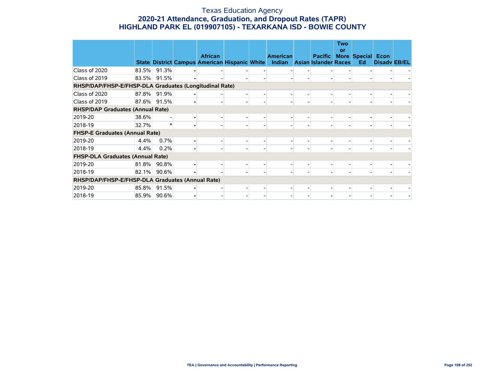#### Texas Education Agency **2020-21 Attendance, Graduation, and Dropout Rates (TAPR) HIGHLAND PARK EL (019907105) - TEXARKANA ISD - BOWIE COUNTY**

|                                                        |       |       |                                                                        |                          |                           |                                               | <b>Two</b><br>or |                                |                     |  |
|--------------------------------------------------------|-------|-------|------------------------------------------------------------------------|--------------------------|---------------------------|-----------------------------------------------|------------------|--------------------------------|---------------------|--|
|                                                        |       |       | <b>African</b><br><b>State District Campus American Hispanic White</b> |                          | <b>American</b><br>Indian | <b>Pacific</b><br><b>Asian Islander Races</b> |                  | <b>More Special Econ</b><br>Ed | <b>Disady EB/EL</b> |  |
| Class of 2020                                          | 83.5% | 91.3% |                                                                        |                          |                           |                                               |                  |                                |                     |  |
| Class of 2019                                          | 83.5% | 91.5% |                                                                        |                          |                           |                                               |                  |                                |                     |  |
| RHSP/DAP/FHSP-E/FHSP-DLA Graduates (Longitudinal Rate) |       |       |                                                                        |                          |                           |                                               |                  |                                |                     |  |
| Class of 2020                                          | 87.8% | 91.9% |                                                                        |                          |                           |                                               |                  |                                |                     |  |
| Class of 2019                                          | 87.6% | 91.5% |                                                                        | $\overline{\phantom{0}}$ |                           |                                               |                  |                                |                     |  |
| <b>RHSP/DAP Graduates (Annual Rate)</b>                |       |       |                                                                        |                          |                           |                                               |                  |                                |                     |  |
| 2019-20                                                | 38.6% |       |                                                                        |                          |                           |                                               |                  |                                |                     |  |
| 2018-19                                                | 32.7% |       |                                                                        | $\overline{\phantom{0}}$ |                           |                                               |                  |                                |                     |  |
| <b>FHSP-E Graduates (Annual Rate)</b>                  |       |       |                                                                        |                          |                           |                                               |                  |                                |                     |  |
| 2019-20                                                | 4.4%  | 0.7%  |                                                                        |                          |                           |                                               |                  |                                |                     |  |
| 2018-19                                                | 4.4%  | 0.2%  |                                                                        | $\overline{\phantom{0}}$ |                           |                                               |                  |                                |                     |  |
| <b>FHSP-DLA Graduates (Annual Rate)</b>                |       |       |                                                                        |                          |                           |                                               |                  |                                |                     |  |
| 2019-20                                                | 81.8% | 90.8% |                                                                        |                          |                           |                                               |                  |                                |                     |  |
| 2018-19                                                | 82.1% | 90.6% |                                                                        |                          |                           |                                               |                  |                                |                     |  |
| RHSP/DAP/FHSP-E/FHSP-DLA Graduates (Annual Rate)       |       |       |                                                                        |                          |                           |                                               |                  |                                |                     |  |
| 2019-20                                                | 85.8% | 91.5% |                                                                        |                          |                           |                                               |                  |                                |                     |  |
| 2018-19                                                | 85.9% | 90.6% |                                                                        |                          |                           |                                               |                  |                                |                     |  |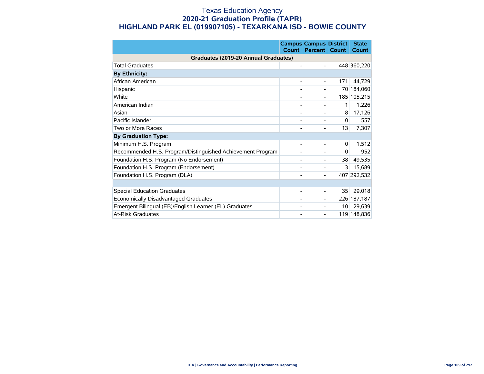#### Texas Education Agency **2020-21 Graduation Profile (TAPR) HIGHLAND PARK EL (019907105) - TEXARKANA ISD - BOWIE COUNTY**

|                                                            | <b>Count</b> | <b>Campus Campus District</b><br><b>Percent</b> | <b>Count</b> | <b>State</b><br><b>Count</b> |
|------------------------------------------------------------|--------------|-------------------------------------------------|--------------|------------------------------|
| Graduates (2019-20 Annual Graduates)                       |              |                                                 |              |                              |
| <b>Total Graduates</b>                                     |              |                                                 |              | 448 360,220                  |
| <b>By Ethnicity:</b>                                       |              |                                                 |              |                              |
| African American                                           |              |                                                 | 171          | 44,729                       |
| Hispanic                                                   |              |                                                 | 70           | 184,060                      |
| White                                                      |              |                                                 |              | 185 105,215                  |
| American Indian                                            |              |                                                 | 1            | 1,226                        |
| Asian                                                      |              |                                                 | 8            | 17,126                       |
| Pacific Islander                                           |              |                                                 | $\mathbf{0}$ | 557                          |
| Two or More Races                                          |              |                                                 | 13           | 7,307                        |
| <b>By Graduation Type:</b>                                 |              |                                                 |              |                              |
| Minimum H.S. Program                                       |              |                                                 | 0            | 1,512                        |
| Recommended H.S. Program/Distinguished Achievement Program |              |                                                 | $\Omega$     | 952                          |
| Foundation H.S. Program (No Endorsement)                   |              |                                                 | 38           | 49,535                       |
| Foundation H.S. Program (Endorsement)                      |              |                                                 | 3            | 15,689                       |
| Foundation H.S. Program (DLA)                              |              |                                                 |              | 407 292,532                  |
|                                                            |              |                                                 |              |                              |
| <b>Special Education Graduates</b>                         |              |                                                 | 35           | 29,018                       |
| Economically Disadvantaged Graduates                       |              |                                                 |              | 226 187,187                  |
| Emergent Bilingual (EB)/English Learner (EL) Graduates     |              |                                                 | 10           | 29,639                       |
| <b>At-Risk Graduates</b>                                   |              |                                                 |              | 119 148,836                  |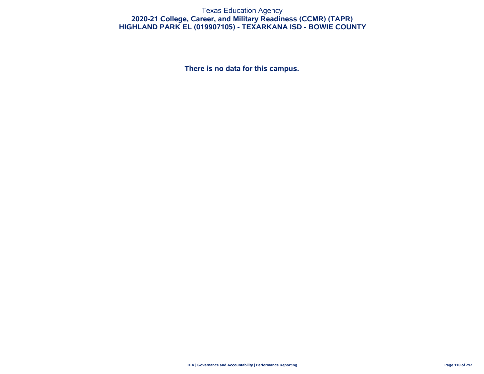#### Texas Education Agency **2020-21 College, Career, and Military Readiness (CCMR) (TAPR) HIGHLAND PARK EL (019907105) - TEXARKANA ISD - BOWIE COUNTY**

**There is no data for this campus.**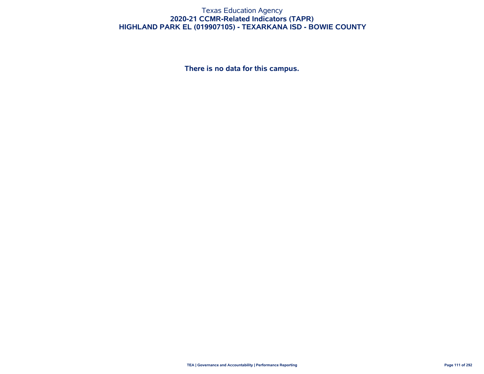#### Texas Education Agency **2020-21 CCMR-Related Indicators (TAPR) HIGHLAND PARK EL (019907105) - TEXARKANA ISD - BOWIE COUNTY**

**There is no data for this campus.**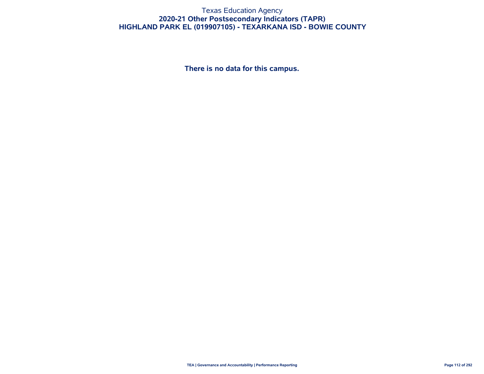#### Texas Education Agency **2020-21 Other Postsecondary Indicators (TAPR) HIGHLAND PARK EL (019907105) - TEXARKANA ISD - BOWIE COUNTY**

**There is no data for this campus.**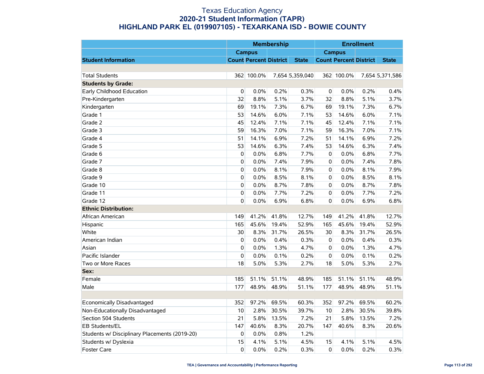|                                               |             |                               | <b>Membership</b> |                 |                |                               | <b>Enrollment</b> |                 |
|-----------------------------------------------|-------------|-------------------------------|-------------------|-----------------|----------------|-------------------------------|-------------------|-----------------|
|                                               |             | <b>Campus</b>                 |                   |                 |                | <b>Campus</b>                 |                   |                 |
| <b>Student Information</b>                    |             | <b>Count Percent District</b> |                   | <b>State</b>    |                | <b>Count Percent District</b> |                   | <b>State</b>    |
|                                               |             |                               |                   |                 |                |                               |                   |                 |
| <b>Total Students</b>                         |             | 362 100.0%                    |                   | 7,654 5,359,040 |                | 362 100.0%                    |                   | 7,654 5,371,586 |
| <b>Students by Grade:</b>                     |             |                               |                   |                 |                |                               |                   |                 |
| Early Childhood Education                     | 0           | 0.0%                          | 0.2%              | 0.3%            | 0              | 0.0%                          | 0.2%              | 0.4%            |
| Pre-Kindergarten                              | 32          | 8.8%                          | 5.1%              | 3.7%            | 32             | 8.8%                          | 5.1%              | 3.7%            |
| Kindergarten                                  | 69          | 19.1%                         | 7.3%              | 6.7%            | 69             | 19.1%                         | 7.3%              | 6.7%            |
| Grade 1                                       | 53          | 14.6%                         | 6.0%              | 7.1%            | 53             | 14.6%                         | 6.0%              | 7.1%            |
| Grade 2                                       | 45          | 12.4%                         | 7.1%              | 7.1%            | 45             | 12.4%                         | 7.1%              | 7.1%            |
| Grade 3                                       | 59          | 16.3%                         | 7.0%              | 7.1%            | 59             | 16.3%                         | 7.0%              | 7.1%            |
| Grade 4                                       | 51          | 14.1%                         | 6.9%              | 7.2%            | 51             | 14.1%                         | 6.9%              | 7.2%            |
| Grade 5                                       | 53          | 14.6%                         | 6.3%              | 7.4%            | 53             | 14.6%                         | 6.3%              | 7.4%            |
| Grade 6                                       | 0           | 0.0%                          | 6.8%              | 7.7%            | $\mathbf 0$    | 0.0%                          | 6.8%              | 7.7%            |
| Grade 7                                       | 0           | 0.0%                          | 7.4%              | 7.9%            | 0              | 0.0%                          | 7.4%              | 7.8%            |
| Grade 8                                       | 0           | 0.0%                          | 8.1%              | 7.9%            | $\overline{0}$ | 0.0%                          | 8.1%              | 7.9%            |
| Grade 9                                       | 0           | 0.0%                          | 8.5%              | 8.1%            | $\pmb{0}$      | 0.0%                          | 8.5%              | 8.1%            |
| Grade 10                                      | 0           | 0.0%                          | 8.7%              | 7.8%            | $\mathbf 0$    | 0.0%                          | 8.7%              | 7.8%            |
| Grade 11                                      | $\mathbf 0$ | 0.0%                          | 7.7%              | 7.2%            | $\mathbf 0$    | 0.0%                          | 7.7%              | 7.2%            |
| Grade 12                                      | 0           | 0.0%                          | 6.9%              | 6.8%            | $\mathbf 0$    | 0.0%                          | 6.9%              | 6.8%            |
| <b>Ethnic Distribution:</b>                   |             |                               |                   |                 |                |                               |                   |                 |
| African American                              | 149         | 41.2%                         | 41.8%             | 12.7%           | 149            | 41.2%                         | 41.8%             | 12.7%           |
| Hispanic                                      | 165         | 45.6%                         | 19.4%             | 52.9%           | 165            | 45.6%                         | 19.4%             | 52.9%           |
| White                                         | 30          | 8.3%                          | 31.7%             | 26.5%           | 30             | 8.3%                          | 31.7%             | 26.5%           |
| American Indian                               | 0           | 0.0%                          | 0.4%              | 0.3%            | $\overline{0}$ | 0.0%                          | 0.4%              | 0.3%            |
| Asian                                         | 0           | 0.0%                          | 1.3%              | 4.7%            | 0              | 0.0%                          | 1.3%              | 4.7%            |
| Pacific Islander                              | 0           | 0.0%                          | 0.1%              | 0.2%            | $\pmb{0}$      | 0.0%                          | 0.1%              | 0.2%            |
| Two or More Races                             | 18          | 5.0%                          | 5.3%              | 2.7%            | 18             | 5.0%                          | 5.3%              | 2.7%            |
| Sex:                                          |             |                               |                   |                 |                |                               |                   |                 |
| Female                                        | 185         | 51.1%                         | 51.1%             | 48.9%           | 185            | 51.1%                         | 51.1%             | 48.9%           |
| Male                                          | 177         | 48.9%                         | 48.9%             | 51.1%           | 177            | 48.9%                         | 48.9%             | 51.1%           |
|                                               |             |                               |                   |                 |                |                               |                   |                 |
| Economically Disadvantaged                    | 352         | 97.2%                         | 69.5%             | 60.3%           | 352            | 97.2%                         | 69.5%             | 60.2%           |
| Non-Educationally Disadvantaged               | 10          | 2.8%                          | 30.5%             | 39.7%           | 10             | 2.8%                          | 30.5%             | 39.8%           |
| Section 504 Students                          | 21          | 5.8%                          | 13.5%             | 7.2%            | 21             | 5.8%                          | 13.5%             | 7.2%            |
| EB Students/EL                                | 147         | 40.6%                         | 8.3%              | 20.7%           | 147            | 40.6%                         | 8.3%              | 20.6%           |
| Students w/ Disciplinary Placements (2019-20) | 0           | 0.0%                          | 0.8%              | 1.2%            |                |                               |                   |                 |
| Students w/ Dyslexia                          | 15          | 4.1%                          | 5.1%              | 4.5%            | 15             | 4.1%                          | 5.1%              | 4.5%            |
| <b>Foster Care</b>                            | $\Omega$    | 0.0%                          | 0.2%              | 0.3%            | $\Omega$       | 0.0%                          | 0.2%              | 0.3%            |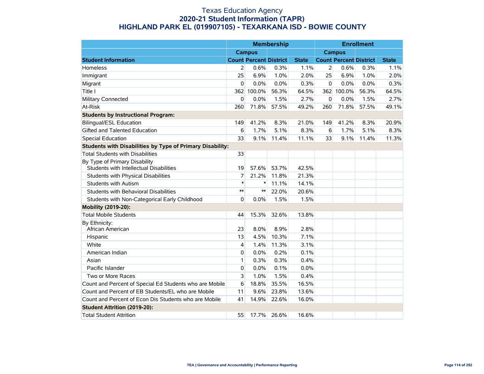|                                                                          |        |                               | <b>Membership</b> |              |             |                               | <b>Enrollment</b> |              |
|--------------------------------------------------------------------------|--------|-------------------------------|-------------------|--------------|-------------|-------------------------------|-------------------|--------------|
|                                                                          |        | <b>Campus</b>                 |                   |              |             | <b>Campus</b>                 |                   |              |
| <b>Student Information</b>                                               |        | <b>Count Percent District</b> |                   | <b>State</b> |             | <b>Count Percent District</b> |                   | <b>State</b> |
| Homeless                                                                 | 2      | 0.6%                          | 0.3%              | 1.1%         | 2           | 0.6%                          | 0.3%              | 1.1%         |
| Immigrant                                                                | 25     | 6.9%                          | 1.0%              | 2.0%         | 25          | 6.9%                          | 1.0%              | 2.0%         |
| Migrant                                                                  | 0      | 0.0%                          | 0.0%              | 0.3%         | $\mathbf 0$ | 0.0%                          | 0.0%              | 0.3%         |
| Title I                                                                  | 362    | 100.0%                        | 56.3%             | 64.5%        |             | 362 100.0%                    | 56.3%             | 64.5%        |
| Military Connected                                                       | 0      | 0.0%                          | 1.5%              | 2.7%         | $\mathbf 0$ | 0.0%                          | 1.5%              | 2.7%         |
| At-Risk                                                                  | 260    | 71.8%                         | 57.5%             | 49.2%        | 260         | 71.8%                         | 57.5%             | 49.1%        |
| <b>Students by Instructional Program:</b>                                |        |                               |                   |              |             |                               |                   |              |
| <b>Bilingual/ESL Education</b>                                           | 149    | 41.2%                         | 8.3%              | 21.0%        | 149         | 41.2%                         | 8.3%              | 20.9%        |
| Gifted and Talented Education                                            | 6      | 1.7%                          | 5.1%              | 8.3%         | 6           | 1.7%                          | 5.1%              | 8.3%         |
| <b>Special Education</b>                                                 | 33     | 9.1%                          | 11.4%             | 11.1%        | 33          | 9.1%                          | 11.4%             | 11.3%        |
| Students with Disabilities by Type of Primary Disability:                |        |                               |                   |              |             |                               |                   |              |
| <b>Total Students with Disabilities</b>                                  | 33     |                               |                   |              |             |                               |                   |              |
| By Type of Primary Disability<br>Students with Intellectual Disabilities | 19     | 57.6%                         | 53.7%             | 42.5%        |             |                               |                   |              |
| Students with Physical Disabilities                                      | 7      | 21.2%                         | 11.8%             | 21.3%        |             |                               |                   |              |
| <b>Students with Autism</b>                                              | $\ast$ | $\ast$                        | 11.1%             | 14.1%        |             |                               |                   |              |
| Students with Behavioral Disabilities                                    | $***$  | $***$                         | 22.0%             | 20.6%        |             |                               |                   |              |
| Students with Non-Categorical Early Childhood                            | 0      | 0.0%                          | 1.5%              | 1.5%         |             |                               |                   |              |
| Mobility (2019-20):                                                      |        |                               |                   |              |             |                               |                   |              |
| <b>Total Mobile Students</b>                                             | 44     | 15.3%                         | 32.6%             | 13.8%        |             |                               |                   |              |
| By Ethnicity:<br>African American                                        | 23     | 8.0%                          | 8.9%              | 2.8%         |             |                               |                   |              |
| Hispanic                                                                 | 13     | 4.5%                          | 10.3%             | 7.1%         |             |                               |                   |              |
| White                                                                    | 4      | 1.4%                          | 11.3%             | 3.1%         |             |                               |                   |              |
| American Indian                                                          | 0      | 0.0%                          | 0.2%              | 0.1%         |             |                               |                   |              |
| Asian                                                                    | 1      | 0.3%                          | 0.3%              | 0.4%         |             |                               |                   |              |
| Pacific Islander                                                         | 0      | 0.0%                          | 0.1%              | 0.0%         |             |                               |                   |              |
| Two or More Races                                                        | 3      | 1.0%                          | 1.5%              | 0.4%         |             |                               |                   |              |
| Count and Percent of Special Ed Students who are Mobile                  | 6      | 18.8%                         | 35.5%             | 16.5%        |             |                               |                   |              |
| Count and Percent of EB Students/EL who are Mobile                       | 11     | 9.6%                          | 23.8%             | 13.6%        |             |                               |                   |              |
| Count and Percent of Econ Dis Students who are Mobile                    | 41     | 14.9%                         | 22.6%             | 16.0%        |             |                               |                   |              |
| <b>Student Attrition (2019-20):</b>                                      |        |                               |                   |              |             |                               |                   |              |
| <b>Total Student Attrition</b>                                           | 55     | 17.7%                         | 26.6%             | 16.6%        |             |                               |                   |              |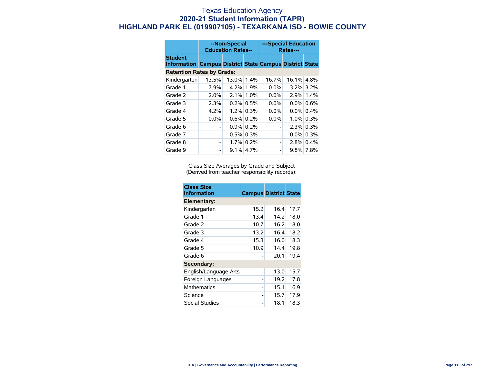|                                                                                  | --Non-Special<br><b>Education Rates--</b> |         |              | ---Special Education<br>Rates--- |       |              |  |
|----------------------------------------------------------------------------------|-------------------------------------------|---------|--------------|----------------------------------|-------|--------------|--|
| <b>Student</b><br><b>Information Campus District State Campus District State</b> |                                           |         |              |                                  |       |              |  |
| <b>Retention Rates by Grade:</b>                                                 |                                           |         |              |                                  |       |              |  |
| Kindergarten                                                                     | 13.5%                                     | 13.0%   | 1.4%         | 16.7%                            | 16.1% | 4.8%         |  |
| Grade 1                                                                          | 7.9%                                      |         | 4.2% 1.9%    | $0.0\%$                          |       | 3.2% 3.2%    |  |
| Grade 2                                                                          | 2.0%                                      | 2.1%    | 1.0%         | $0.0\%$                          |       | 2.9% 1.4%    |  |
| Grade 3                                                                          | 2.3%                                      |         | $0.2\%$ 0.5% | $0.0\%$                          |       | $0.0\%$ 0.6% |  |
| Grade 4                                                                          | 4.2%                                      | $1.2\%$ | 0.3%         | $0.0\%$                          |       | $0.0\%$ 0.4% |  |
| Grade 5                                                                          | 0.0%                                      |         | $0.6\%$ 0.2% | $0.0\%$                          |       | $1.0\%$ 0.3% |  |
| Grade 6                                                                          |                                           |         | $0.9\%$ 0.2% | -                                |       | $2.3\%$ 0.3% |  |
| Grade 7                                                                          | -                                         |         | $0.5\%$ 0.3% | $\overline{\phantom{0}}$         |       | $0.0\%$ 0.3% |  |
| Grade 8                                                                          |                                           |         | 1.7% 0.2%    | -                                |       | $2.8\%$ 0.4% |  |
| Grade 9                                                                          |                                           |         | $9.1\%$ 4.7% |                                  |       | 9.8% 7.8%    |  |

Class Size Averages by Grade and Subject (Derived from teacher responsibility records):

| <b>Class Size</b><br><b>Information</b> | <b>Campus District State</b> |      |      |  |
|-----------------------------------------|------------------------------|------|------|--|
| Elementary:                             |                              |      |      |  |
| Kindergarten                            | 15.2                         | 16.4 | 17.7 |  |
| Grade 1                                 | 13.4                         | 14.2 | 18.0 |  |
| Grade 2                                 | 10.7                         | 16.2 | 18.0 |  |
| Grade 3                                 | 13.2                         | 16.4 | 18.2 |  |
| Grade 4                                 | 15.3                         | 16.0 | 18.3 |  |
| Grade 5                                 | 10.9                         | 14.4 | 19.8 |  |
| Grade 6                                 |                              | 20.1 | 19.4 |  |
| Secondary:                              |                              |      |      |  |
| English/Language Arts                   |                              | 13.0 | 15.7 |  |
| Foreign Languages                       |                              | 19.2 | 17.8 |  |
| <b>Mathematics</b>                      |                              | 15.1 | 16.9 |  |
| Science                                 |                              | 15.7 | 17.9 |  |
| Social Studies                          |                              | 18.1 | 18.3 |  |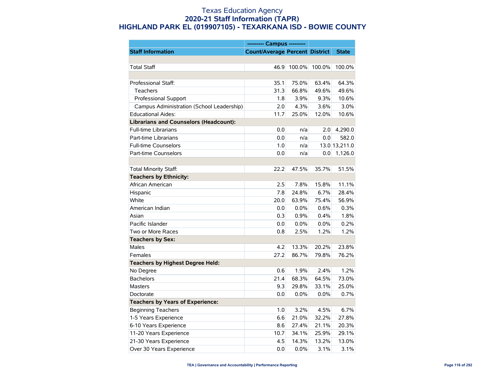|                                               | --------- Campus ---------            |        |        |               |
|-----------------------------------------------|---------------------------------------|--------|--------|---------------|
| <b>Staff Information</b>                      | <b>Count/Average Percent District</b> |        |        | <b>State</b>  |
|                                               |                                       |        |        |               |
| <b>Total Staff</b>                            | 46.9                                  | 100.0% | 100.0% | 100.0%        |
|                                               |                                       |        |        |               |
| Professional Staff:                           | 35.1                                  | 75.0%  | 63.4%  | 64.3%         |
| Teachers                                      | 31.3                                  | 66.8%  | 49.6%  | 49.6%         |
| Professional Support                          | 1.8                                   | 3.9%   | 9.3%   | 10.6%         |
| Campus Administration (School Leadership)     | 2.0                                   | 4.3%   | 3.6%   | 3.0%          |
| <b>Educational Aides:</b>                     | 11.7                                  | 25.0%  | 12.0%  | 10.6%         |
| <b>Librarians and Counselors (Headcount):</b> |                                       |        |        |               |
| <b>Full-time Librarians</b>                   | 0.0                                   | n/a    | 2.0    | 4,290.0       |
| Part-time Librarians                          | 0.0                                   | n/a    | 0.0    | 582.0         |
| <b>Full-time Counselors</b>                   | 1.0                                   | n/a    |        | 13.0 13,211.0 |
| Part-time Counselors                          | 0.0                                   | n/a    | 0.0    | 1,126.0       |
|                                               |                                       |        |        |               |
| <b>Total Minority Staff:</b>                  | 22.2                                  | 47.5%  | 35.7%  | 51.5%         |
| <b>Teachers by Ethnicity:</b>                 |                                       |        |        |               |
| African American                              | 2.5                                   | 7.8%   | 15.8%  | 11.1%         |
| Hispanic                                      | 7.8                                   | 24.8%  | 6.7%   | 28.4%         |
| White                                         | 20.0                                  | 63.9%  | 75.4%  | 56.9%         |
| American Indian                               | 0.0                                   | 0.0%   | 0.6%   | 0.3%          |
| Asian                                         | 0.3                                   | 0.9%   | 0.4%   | 1.8%          |
| Pacific Islander                              | 0.0                                   | 0.0%   | 0.0%   | 0.2%          |
| Two or More Races                             | 0.8                                   | 2.5%   | 1.2%   | 1.2%          |
| <b>Teachers by Sex:</b>                       |                                       |        |        |               |
| <b>Males</b>                                  | 4.2                                   | 13.3%  | 20.2%  | 23.8%         |
| Females                                       | 27.2                                  | 86.7%  | 79.8%  | 76.2%         |
| <b>Teachers by Highest Degree Held:</b>       |                                       |        |        |               |
| No Degree                                     | 0.6                                   | 1.9%   | 2.4%   | 1.2%          |
| <b>Bachelors</b>                              | 21.4                                  | 68.3%  | 64.5%  | 73.0%         |
| <b>Masters</b>                                | 9.3                                   | 29.8%  | 33.1%  | 25.0%         |
| Doctorate                                     | 0.0                                   | 0.0%   | 0.0%   | 0.7%          |
| <b>Teachers by Years of Experience:</b>       |                                       |        |        |               |
| <b>Beginning Teachers</b>                     | 1.0                                   | 3.2%   | 4.5%   | 6.7%          |
| 1-5 Years Experience                          | 6.6                                   | 21.0%  | 32.2%  | 27.8%         |
| 6-10 Years Experience                         | 8.6                                   | 27.4%  | 21.1%  | 20.3%         |
| 11-20 Years Experience                        | 10.7                                  | 34.1%  | 25.9%  | 29.1%         |
| 21-30 Years Experience                        | 4.5                                   | 14.3%  | 13.2%  | 13.0%         |
| Over 30 Years Experience                      | 0.0                                   | 0.0%   | 3.1%   | 3.1%          |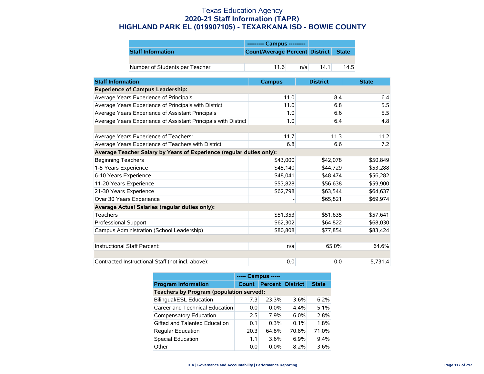|                                | --------- Campus ---------           |     |      |      |
|--------------------------------|--------------------------------------|-----|------|------|
| <b>Staff Information</b>       | Count/Average Percent District State |     |      |      |
|                                |                                      |     |      |      |
| Number of Students per Teacher | 116                                  | n/a | 14.1 | 14.5 |

| <b>Staff Information</b>                                             | <b>Campus</b> | <b>District</b> | <b>State</b> |
|----------------------------------------------------------------------|---------------|-----------------|--------------|
| <b>Experience of Campus Leadership:</b>                              |               |                 |              |
| Average Years Experience of Principals                               | 11.0          | 8.4             | 6.4          |
| Average Years Experience of Principals with District                 | 11.0          | 6.8             | 5.5          |
| Average Years Experience of Assistant Principals                     | 1.0           | 6.6             | 5.5          |
| Average Years Experience of Assistant Principals with District       | 1.0           | 6.4             | 4.8          |
|                                                                      |               |                 |              |
| Average Years Experience of Teachers:                                | 11.7          | 11.3            | 11.2         |
| Average Years Experience of Teachers with District:                  | 6.8           | 6.6             | 7.2          |
| Average Teacher Salary by Years of Experience (regular duties only): |               |                 |              |
| <b>Beginning Teachers</b>                                            | \$43,000      | \$42,078        | \$50,849     |
| 1-5 Years Experience                                                 | \$45,140      | \$44,729        | \$53,288     |
| 6-10 Years Experience                                                | \$48,041      | \$48,474        | \$56,282     |
| 11-20 Years Experience                                               | \$53,828      | \$56,638        | \$59,900     |
| 21-30 Years Experience                                               | \$62,798      | \$63,544        | \$64,637     |
| Over 30 Years Experience                                             |               | \$65,821        | \$69,974     |
| Average Actual Salaries (regular duties only):                       |               |                 |              |
| <b>Teachers</b>                                                      | \$51,353      | \$51,635        | \$57,641     |
| Professional Support                                                 | \$62,302      | \$64,822        | \$68,030     |
| Campus Administration (School Leadership)                            | \$80,808      | \$77,854        | \$83,424     |
|                                                                      |               |                 |              |
| Instructional Staff Percent:                                         | n/a           | 65.0%           | 64.6%        |
|                                                                      |               |                 |              |
| Contracted Instructional Staff (not incl. above):                    | 0.0           | 0.0             | 5,731.4      |

|                                          | ----- Campus ----- |                         |         |              |  |  |
|------------------------------------------|--------------------|-------------------------|---------|--------------|--|--|
| <b>Program Information</b>               | <b>Count</b>       | <b>Percent District</b> |         | <b>State</b> |  |  |
| Teachers by Program (population served): |                    |                         |         |              |  |  |
| <b>Bilingual/ESL Education</b>           | 7.3                | 23.3%                   | 3.6%    | 6.2%         |  |  |
| Career and Technical Education           | 0.0                | $0.0\%$                 | 4.4%    | 5.1%         |  |  |
| Compensatory Education                   | 2.5                | 7.9%                    | $6.0\%$ | 2.8%         |  |  |
| Gifted and Talented Education            | 0.1                | 0.3%                    | 0.1%    | 1.8%         |  |  |
| <b>Regular Education</b>                 | 20.3               | 64.8%                   | 70.8%   | 71.0%        |  |  |
| <b>Special Education</b>                 | 1.1                | 3.6%                    | $6.9\%$ | 9.4%         |  |  |
| Other                                    | 0.0                | $0.0\%$                 | 8.2%    | 3.6%         |  |  |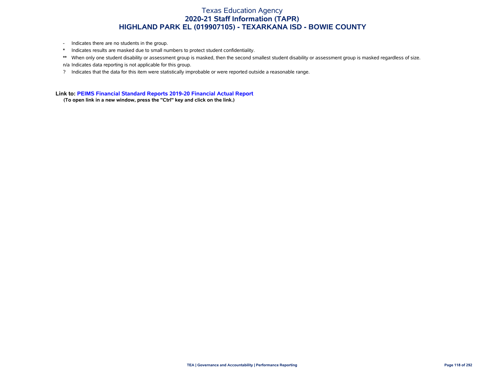- Indicates there are no students in the group.
- \* Indicates results are masked due to small numbers to protect student confidentiality.
- \*\* When only one student disability or assessment group is masked, then the second smallest student disability or assessment group is masked regardless of size. n/a Indicates data reporting is not applicable for this group.
- ? Indicates that the data for this item were statistically improbable or were reported outside a reasonable range.

**Link to: [PEIMS Financial Standard Reports 2019-20 Financial Actual Report](https://rptsvr1.tea.texas.gov/cgi/sas/broker?_service=marykay&_service=appserv&_debug=0&_program=sfadhoc.Campus_actual20.sas&which_camp=019907105)**

**(To open link in a new window, press the "Ctrl" key and click on the link.)**